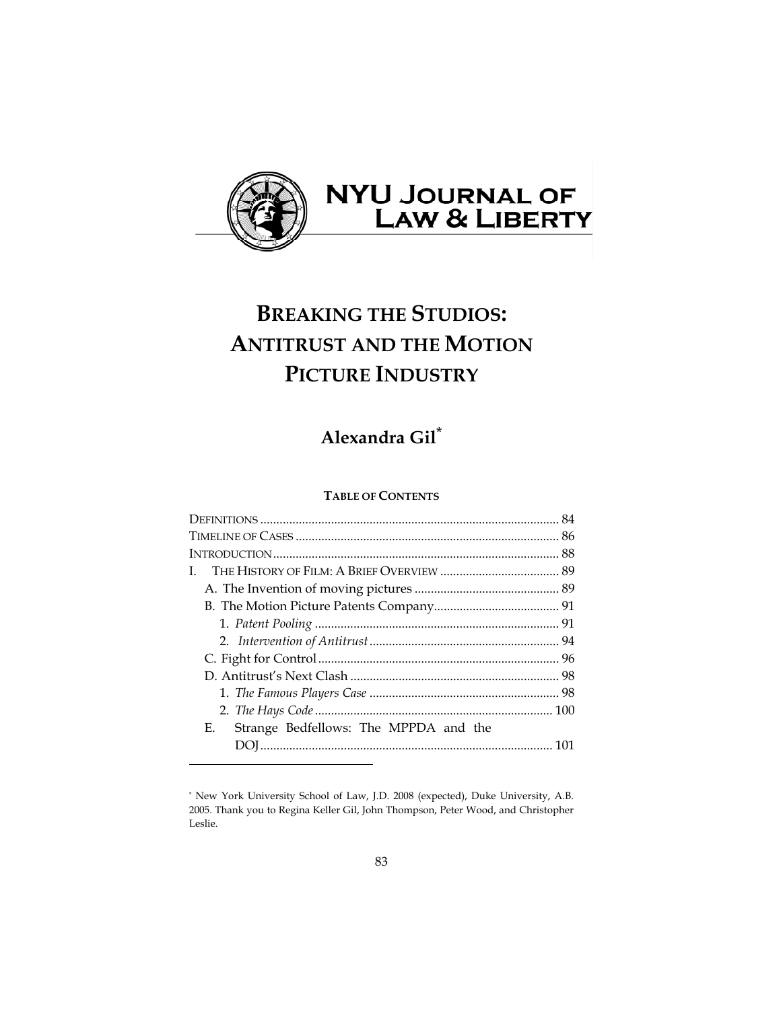

# **BREAKING THE STUDIOS: ANTITRUST AND THE MOTION PICTURE INDUSTRY**

# **Alexandra Gil**\*

# **TABLE OF CONTENTS**

| L                                           |  |
|---------------------------------------------|--|
|                                             |  |
|                                             |  |
|                                             |  |
|                                             |  |
|                                             |  |
|                                             |  |
|                                             |  |
|                                             |  |
| Е.<br>Strange Bedfellows: The MPPDA and the |  |
|                                             |  |
|                                             |  |

<sup>\*</sup> New York University School of Law, J.D. 2008 (expected), Duke University, A.B. 2005. Thank you to Regina Keller Gil, John Thompson, Peter Wood, and Christopher Leslie.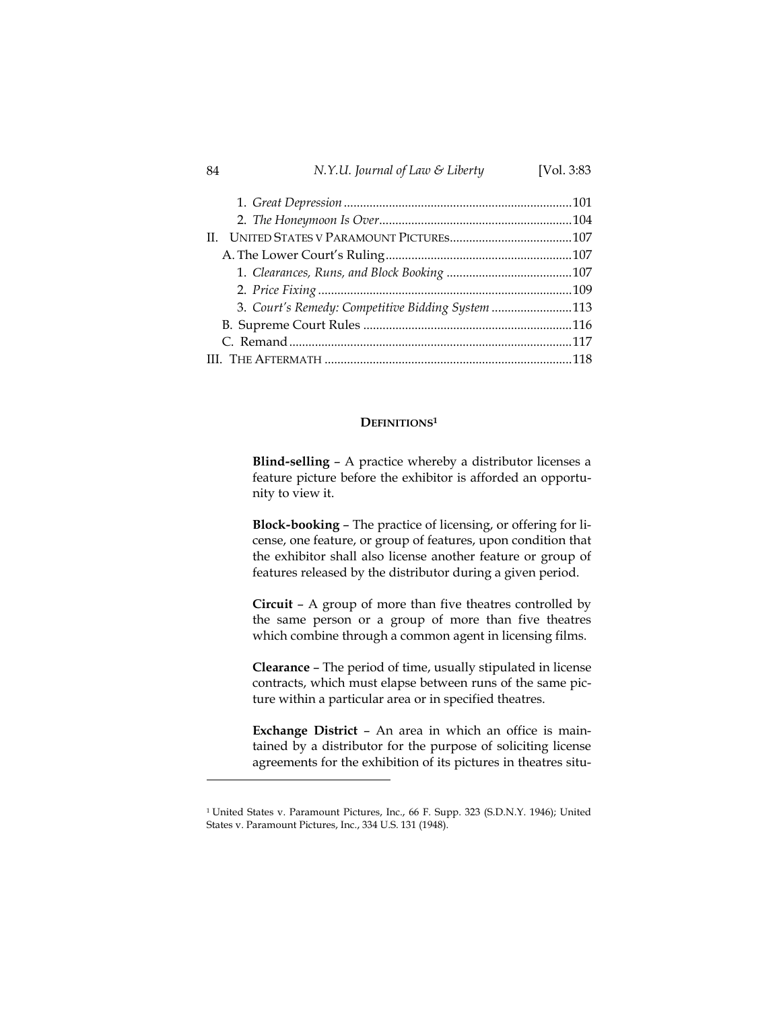#### 84 *N.Y.U. Journal of Law & Liberty* [Vol. 3:83

| 3. Court's Remedy: Competitive Bidding System 113 |  |
|---------------------------------------------------|--|
|                                                   |  |
|                                                   |  |
|                                                   |  |
|                                                   |  |

# **DEFINITIONS1**

**Blind***-***selling** – A practice whereby a distributor licenses a feature picture before the exhibitor is afforded an opportunity to view it.

**Block***-***booking** – The practice of licensing, or offering for license, one feature, or group of features, upon condition that the exhibitor shall also license another feature or group of features released by the distributor during a given period.

**Circuit** – A group of more than five theatres controlled by the same person or a group of more than five theatres which combine through a common agent in licensing films.

**Clearance** – The period of time, usually stipulated in license contracts, which must elapse between runs of the same picture within a particular area or in specified theatres.

**Exchange District** – An area in which an office is maintained by a distributor for the purpose of soliciting license agreements for the exhibition of its pictures in theatres situ-

<sup>1</sup> United States v. Paramount Pictures, Inc., 66 F. Supp. 323 (S.D.N.Y. 1946); United States v. Paramount Pictures, Inc., 334 U.S. 131 (1948).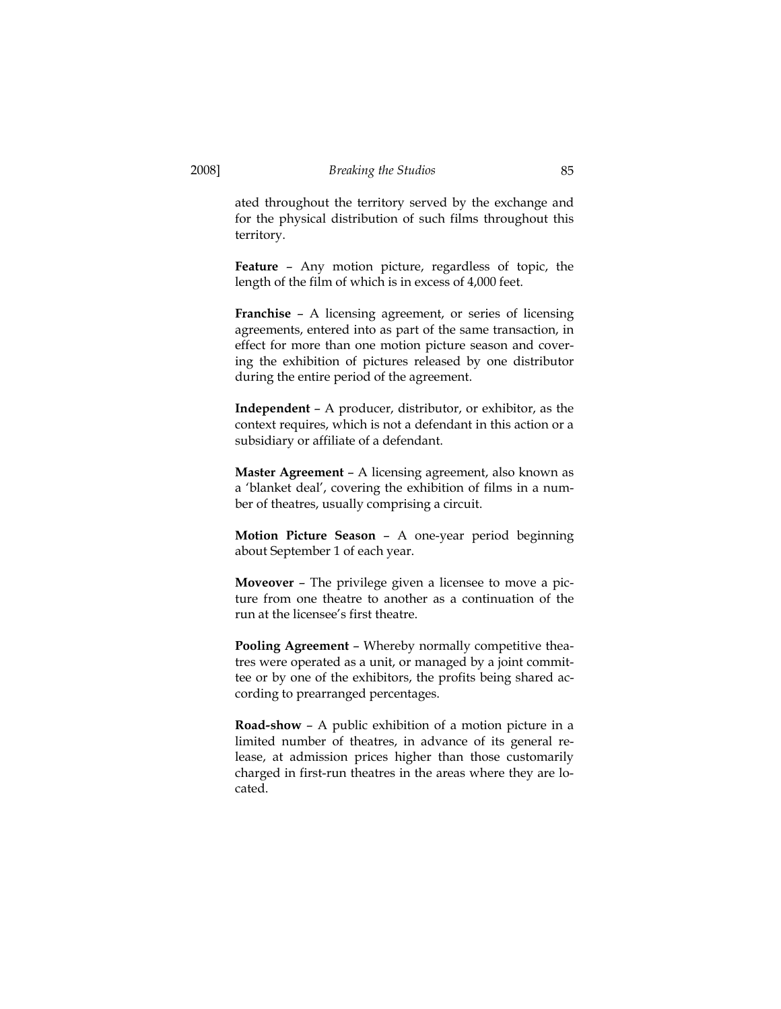ated throughout the territory served by the exchange and for the physical distribution of such films throughout this territory.

**Feature** – Any motion picture, regardless of topic, the length of the film of which is in excess of 4,000 feet.

**Franchise** – A licensing agreement, or series of licensing agreements, entered into as part of the same transaction, in effect for more than one motion picture season and covering the exhibition of pictures released by one distributor during the entire period of the agreement.

**Independent** – A producer, distributor, or exhibitor, as the context requires, which is not a defendant in this action or a subsidiary or affiliate of a defendant.

**Master Agreement** – A licensing agreement, also known as a 'blanket deal', covering the exhibition of films in a number of theatres, usually comprising a circuit.

**Motion Picture Season** – A one-year period beginning about September 1 of each year.

**Moveover** – The privilege given a licensee to move a picture from one theatre to another as a continuation of the run at the licensee's first theatre.

**Pooling Agreement** – Whereby normally competitive theatres were operated as a unit, or managed by a joint committee or by one of the exhibitors, the profits being shared according to prearranged percentages.

**Road***-***show** – A public exhibition of a motion picture in a limited number of theatres, in advance of its general release, at admission prices higher than those customarily charged in first-run theatres in the areas where they are located.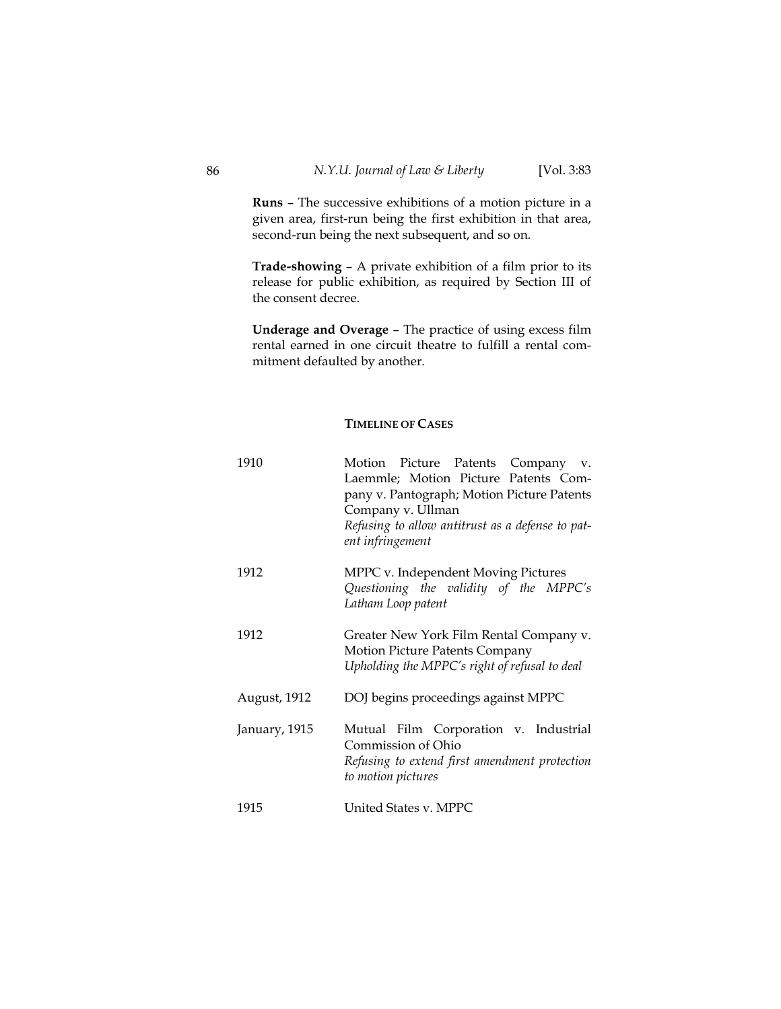**Runs** – The successive exhibitions of a motion picture in a given area, first-run being the first exhibition in that area, second-run being the next subsequent, and so on.

**Trade***-***showing** – A private exhibition of a film prior to its release for public exhibition, as required by Section III of the consent decree.

**Underage and Overage** – The practice of using excess film rental earned in one circuit theatre to fulfill a rental commitment defaulted by another.

# **TIMELINE OF CASES**

| 1910          | Motion Picture Patents Company v.<br>Laemmle; Motion Picture Patents Com-<br>pany v. Pantograph; Motion Picture Patents<br>Company v. Ullman<br>Refusing to allow antitrust as a defense to pat-<br>ent infringement |
|---------------|----------------------------------------------------------------------------------------------------------------------------------------------------------------------------------------------------------------------|
| 1912          | MPPC v. Independent Moving Pictures<br>Questioning the validity of the MPPC's<br>Latham Loop patent                                                                                                                  |
| 1912          | Greater New York Film Rental Company v.<br><b>Motion Picture Patents Company</b><br>Upholding the MPPC's right of refusal to deal                                                                                    |
| August, 1912  | DOJ begins proceedings against MPPC                                                                                                                                                                                  |
| January, 1915 | Mutual Film Corporation v. Industrial<br>Commission of Ohio<br>Refusing to extend first amendment protection<br>to motion pictures                                                                                   |
| 1915          | United States v. MPPC                                                                                                                                                                                                |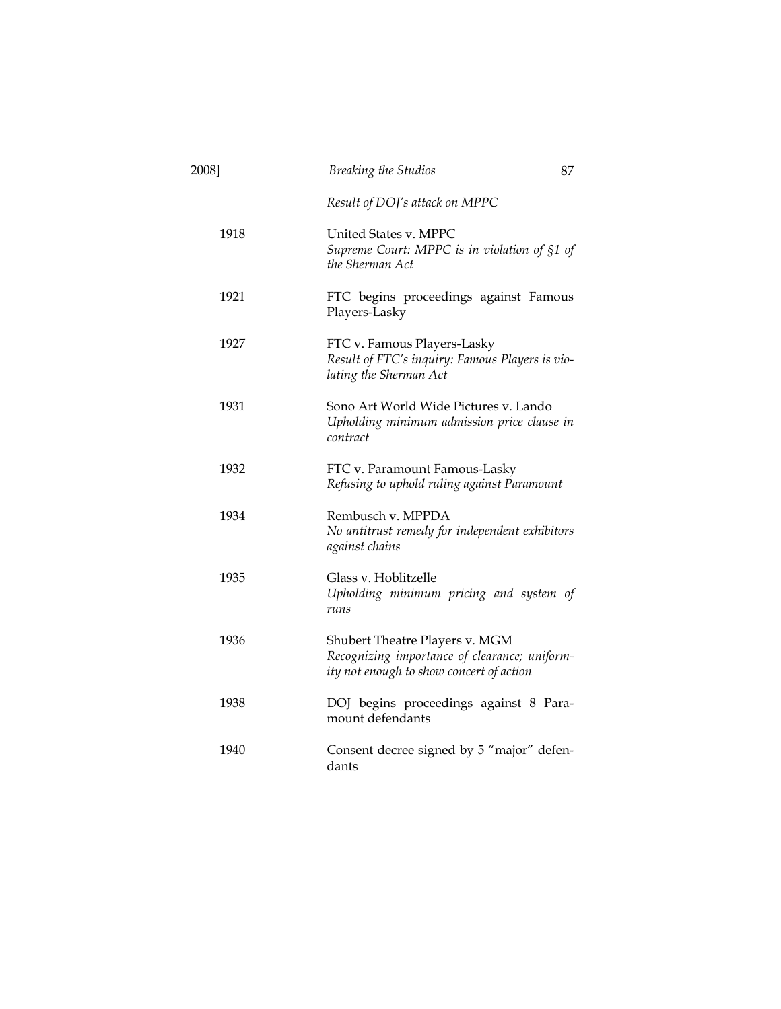| 2008] | <b>Breaking the Studios</b>                                                                                                 | 87 |
|-------|-----------------------------------------------------------------------------------------------------------------------------|----|
|       | Result of DOJ's attack on MPPC                                                                                              |    |
| 1918  | United States v. MPPC<br>Supreme Court: MPPC is in violation of §1 of<br>the Sherman Act                                    |    |
| 1921  | FTC begins proceedings against Famous<br>Players-Lasky                                                                      |    |
| 1927  | FTC v. Famous Players-Lasky<br>Result of FTC's inquiry: Famous Players is vio-<br>lating the Sherman Act                    |    |
| 1931  | Sono Art World Wide Pictures v. Lando<br>Upholding minimum admission price clause in<br>contract                            |    |
| 1932  | FTC v. Paramount Famous-Lasky<br>Refusing to uphold ruling against Paramount                                                |    |
| 1934  | Rembusch v. MPPDA<br>No antitrust remedy for independent exhibitors<br>against chains                                       |    |
| 1935  | Glass v. Hoblitzelle<br>Upholding minimum pricing and system of<br>runs                                                     |    |
| 1936  | Shubert Theatre Players v. MGM<br>Recognizing importance of clearance; uniform-<br>ity not enough to show concert of action |    |
| 1938  | DOJ begins proceedings against 8 Para-<br>mount defendants                                                                  |    |
| 1940  | Consent decree signed by 5 "major" defen-<br>dants                                                                          |    |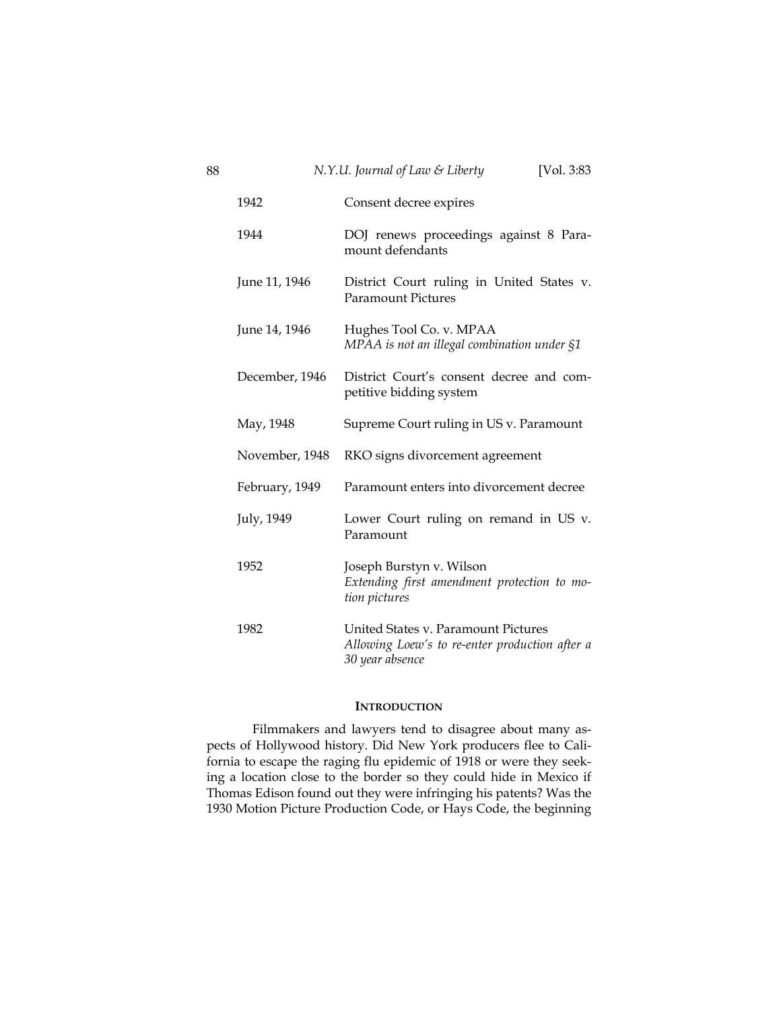| 88 |                | N.Y.U. Journal of Law & Liberty<br>[Vol. 3:83]                                                           |
|----|----------------|----------------------------------------------------------------------------------------------------------|
|    | 1942           | Consent decree expires                                                                                   |
|    | 1944           | DOJ renews proceedings against 8 Para-<br>mount defendants                                               |
|    | June 11, 1946  | District Court ruling in United States v.<br><b>Paramount Pictures</b>                                   |
|    | June 14, 1946  | Hughes Tool Co. v. MPAA<br>MPAA is not an illegal combination under §1                                   |
|    | December, 1946 | District Court's consent decree and com-<br>petitive bidding system                                      |
|    | May, 1948      | Supreme Court ruling in US v. Paramount                                                                  |
|    | November, 1948 | RKO signs divorcement agreement                                                                          |
|    | February, 1949 | Paramount enters into divorcement decree                                                                 |
|    | July, 1949     | Lower Court ruling on remand in US v.<br>Paramount                                                       |
|    | 1952           | Joseph Burstyn v. Wilson<br>Extending first amendment protection to mo-<br>tion pictures                 |
|    | 1982           | United States v. Paramount Pictures<br>Allowing Loew's to re-enter production after a<br>30 year absence |

# **INTRODUCTION**

Filmmakers and lawyers tend to disagree about many aspects of Hollywood history. Did New York producers flee to California to escape the raging flu epidemic of 1918 or were they seeking a location close to the border so they could hide in Mexico if Thomas Edison found out they were infringing his patents? Was the 1930 Motion Picture Production Code, or Hays Code, the beginning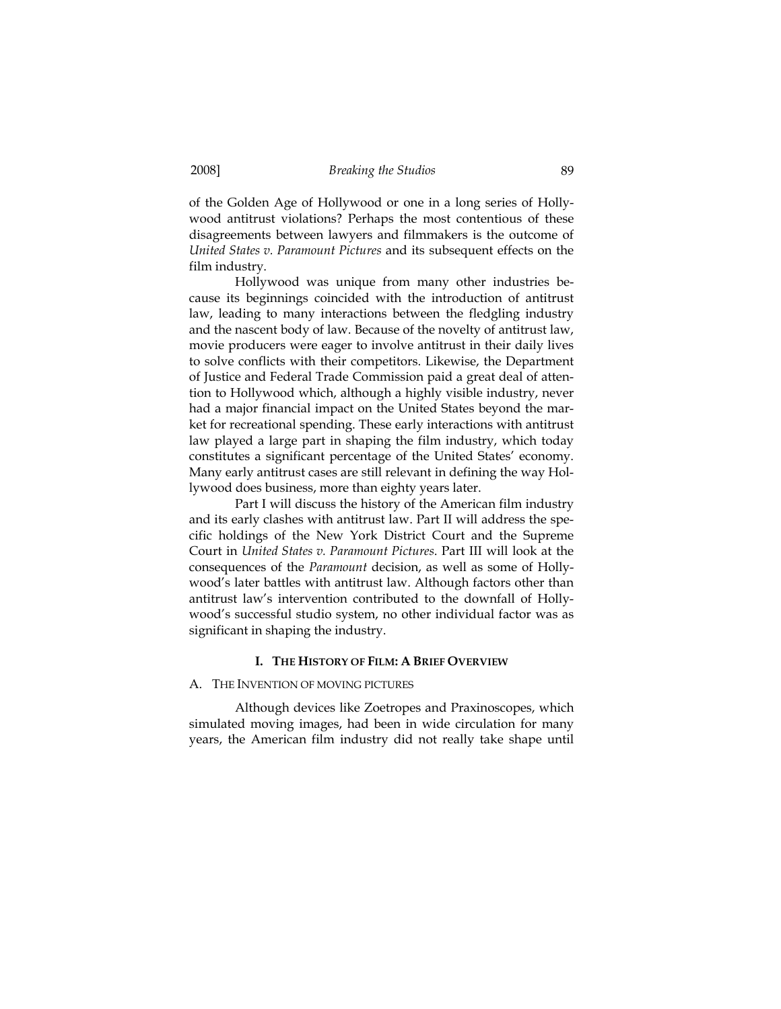of the Golden Age of Hollywood or one in a long series of Hollywood antitrust violations? Perhaps the most contentious of these disagreements between lawyers and filmmakers is the outcome of *United States v. Paramount Pictures* and its subsequent effects on the film industry.

Hollywood was unique from many other industries because its beginnings coincided with the introduction of antitrust law, leading to many interactions between the fledgling industry and the nascent body of law. Because of the novelty of antitrust law, movie producers were eager to involve antitrust in their daily lives to solve conflicts with their competitors. Likewise, the Department of Justice and Federal Trade Commission paid a great deal of attention to Hollywood which, although a highly visible industry, never had a major financial impact on the United States beyond the market for recreational spending. These early interactions with antitrust law played a large part in shaping the film industry, which today constitutes a significant percentage of the United States' economy. Many early antitrust cases are still relevant in defining the way Hollywood does business, more than eighty years later.

Part I will discuss the history of the American film industry and its early clashes with antitrust law. Part II will address the specific holdings of the New York District Court and the Supreme Court in *United States v. Paramount Pictures*. Part III will look at the consequences of the *Paramount* decision, as well as some of Hollywood's later battles with antitrust law. Although factors other than antitrust law's intervention contributed to the downfall of Hollywood's successful studio system, no other individual factor was as significant in shaping the industry.

#### **I. THE HISTORY OF FILM: A BRIEF OVERVIEW**

#### A. THE INVENTION OF MOVING PICTURES

Although devices like Zoetropes and Praxinoscopes, which simulated moving images, had been in wide circulation for many years, the American film industry did not really take shape until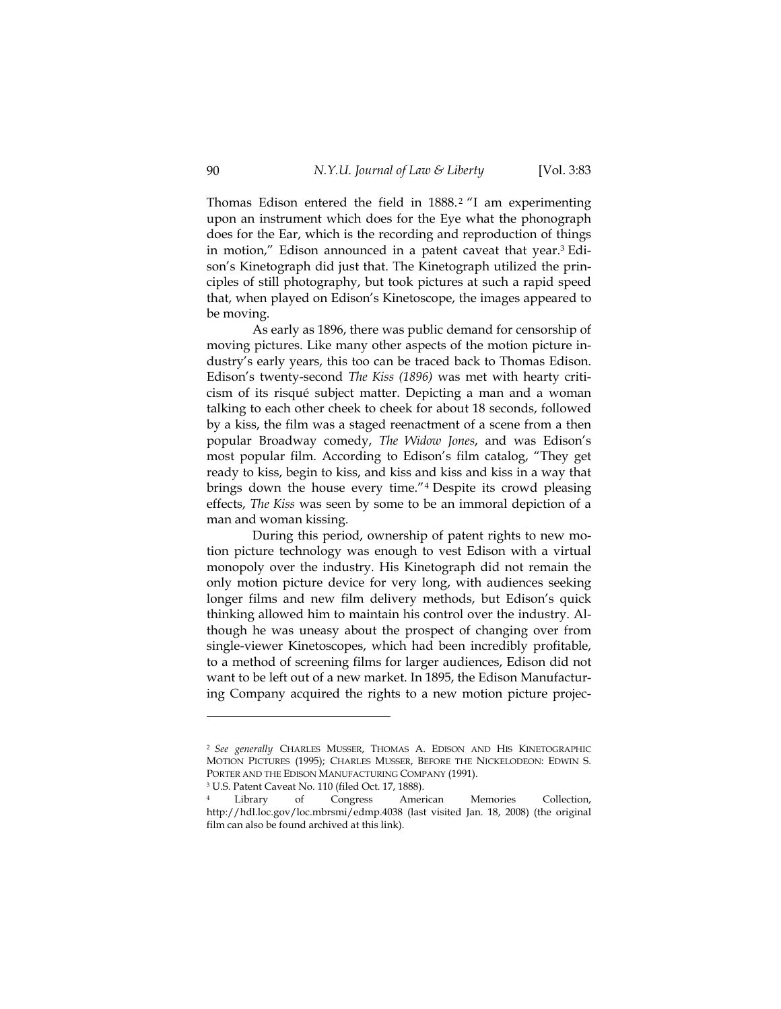Thomas Edison entered the field in 1888. 2 "I am experimenting upon an instrument which does for the Eye what the phonograph does for the Ear, which is the recording and reproduction of things in motion," Edison announced in a patent caveat that year.3 Edison's Kinetograph did just that. The Kinetograph utilized the principles of still photography, but took pictures at such a rapid speed that, when played on Edison's Kinetoscope, the images appeared to be moving.

As early as 1896, there was public demand for censorship of moving pictures. Like many other aspects of the motion picture industry's early years, this too can be traced back to Thomas Edison. Edison's twenty-second *The Kiss (1896)* was met with hearty criticism of its risqué subject matter. Depicting a man and a woman talking to each other cheek to cheek for about 18 seconds, followed by a kiss, the film was a staged reenactment of a scene from a then popular Broadway comedy, *The Widow Jones*, and was Edison's most popular film. According to Edison's film catalog, "They get ready to kiss, begin to kiss, and kiss and kiss and kiss in a way that brings down the house every time."4 Despite its crowd pleasing effects, *The Kiss* was seen by some to be an immoral depiction of a man and woman kissing.

During this period, ownership of patent rights to new motion picture technology was enough to vest Edison with a virtual monopoly over the industry. His Kinetograph did not remain the only motion picture device for very long, with audiences seeking longer films and new film delivery methods, but Edison's quick thinking allowed him to maintain his control over the industry. Although he was uneasy about the prospect of changing over from single-viewer Kinetoscopes, which had been incredibly profitable, to a method of screening films for larger audiences, Edison did not want to be left out of a new market. In 1895, the Edison Manufacturing Company acquired the rights to a new motion picture projec-

<sup>2</sup> *See generally* CHARLES MUSSER, THOMAS A. EDISON AND HIS KINETOGRAPHIC MOTION PICTURES (1995); CHARLES MUSSER, BEFORE THE NICKELODEON: EDWIN S. PORTER AND THE EDISON MANUFACTURING COMPANY (1991).<br><sup>3</sup> U.S. Patent Caveat No. 110 (filed Oct. 17, 1888).

Library of Congress American Memories Collection, http://hdl.loc.gov/loc.mbrsmi/edmp.4038 (last visited Jan. 18, 2008) (the original film can also be found archived at this link).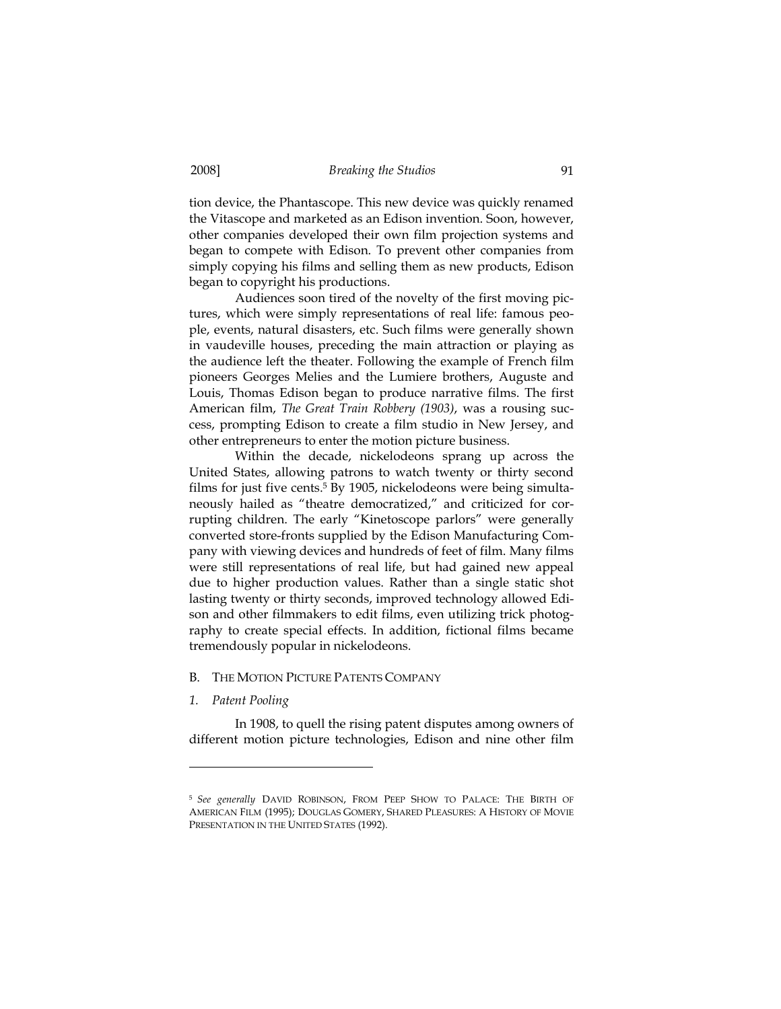tion device, the Phantascope. This new device was quickly renamed the Vitascope and marketed as an Edison invention. Soon, however, other companies developed their own film projection systems and began to compete with Edison. To prevent other companies from simply copying his films and selling them as new products, Edison began to copyright his productions.

Audiences soon tired of the novelty of the first moving pictures, which were simply representations of real life: famous people, events, natural disasters, etc. Such films were generally shown in vaudeville houses, preceding the main attraction or playing as the audience left the theater. Following the example of French film pioneers Georges Melies and the Lumiere brothers, Auguste and Louis, Thomas Edison began to produce narrative films. The first American film, *The Great Train Robbery (1903)*, was a rousing success, prompting Edison to create a film studio in New Jersey, and other entrepreneurs to enter the motion picture business.

Within the decade, nickelodeons sprang up across the United States, allowing patrons to watch twenty or thirty second films for just five cents.<sup>5</sup> By 1905, nickelodeons were being simultaneously hailed as "theatre democratized," and criticized for corrupting children. The early "Kinetoscope parlors" were generally converted store-fronts supplied by the Edison Manufacturing Company with viewing devices and hundreds of feet of film. Many films were still representations of real life, but had gained new appeal due to higher production values. Rather than a single static shot lasting twenty or thirty seconds, improved technology allowed Edison and other filmmakers to edit films, even utilizing trick photography to create special effects. In addition, fictional films became tremendously popular in nickelodeons.

#### B. THE MOTION PICTURE PATENTS COMPANY

*1. Patent Pooling* 

-

In 1908, to quell the rising patent disputes among owners of different motion picture technologies, Edison and nine other film

<sup>5</sup> *See generally* DAVID ROBINSON, FROM PEEP SHOW TO PALACE: THE BIRTH OF AMERICAN FILM (1995); DOUGLAS GOMERY, SHARED PLEASURES: A HISTORY OF MOVIE PRESENTATION IN THE UNITED STATES (1992).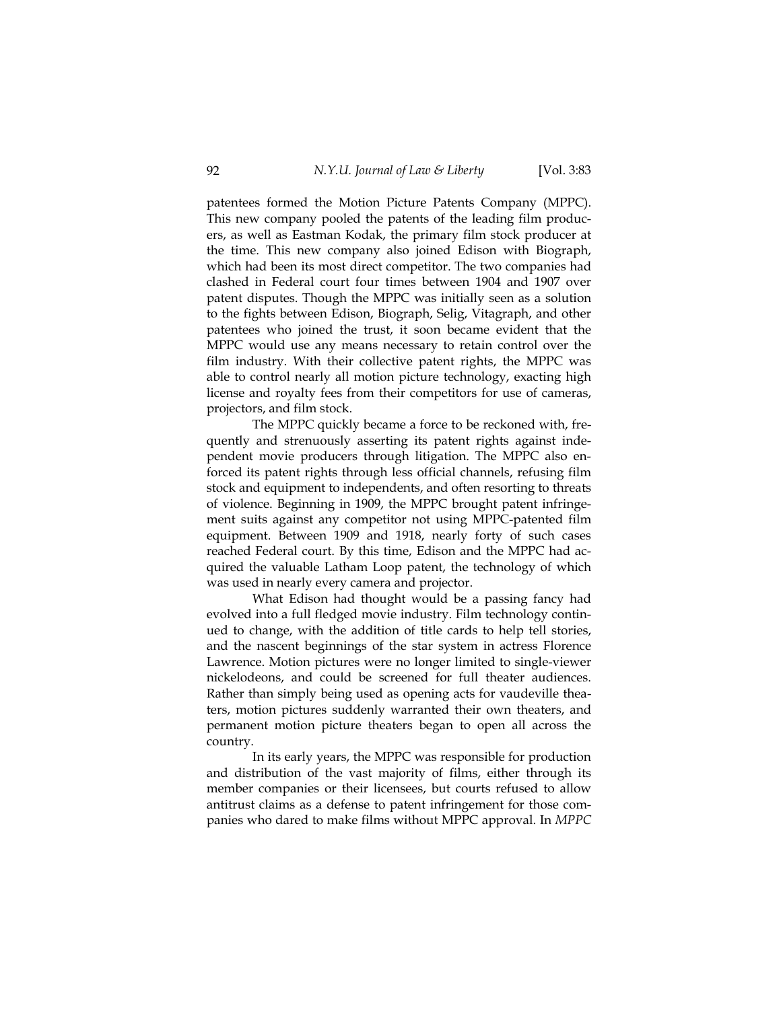patentees formed the Motion Picture Patents Company (MPPC). This new company pooled the patents of the leading film producers, as well as Eastman Kodak, the primary film stock producer at the time. This new company also joined Edison with Biograph, which had been its most direct competitor. The two companies had clashed in Federal court four times between 1904 and 1907 over patent disputes. Though the MPPC was initially seen as a solution to the fights between Edison, Biograph, Selig, Vitagraph, and other patentees who joined the trust, it soon became evident that the MPPC would use any means necessary to retain control over the film industry. With their collective patent rights, the MPPC was able to control nearly all motion picture technology, exacting high license and royalty fees from their competitors for use of cameras, projectors, and film stock.

The MPPC quickly became a force to be reckoned with, frequently and strenuously asserting its patent rights against independent movie producers through litigation. The MPPC also enforced its patent rights through less official channels, refusing film stock and equipment to independents, and often resorting to threats of violence. Beginning in 1909, the MPPC brought patent infringement suits against any competitor not using MPPC-patented film equipment. Between 1909 and 1918, nearly forty of such cases reached Federal court. By this time, Edison and the MPPC had acquired the valuable Latham Loop patent, the technology of which was used in nearly every camera and projector.

What Edison had thought would be a passing fancy had evolved into a full fledged movie industry. Film technology continued to change, with the addition of title cards to help tell stories, and the nascent beginnings of the star system in actress Florence Lawrence. Motion pictures were no longer limited to single-viewer nickelodeons, and could be screened for full theater audiences. Rather than simply being used as opening acts for vaudeville theaters, motion pictures suddenly warranted their own theaters, and permanent motion picture theaters began to open all across the country.

In its early years, the MPPC was responsible for production and distribution of the vast majority of films, either through its member companies or their licensees, but courts refused to allow antitrust claims as a defense to patent infringement for those companies who dared to make films without MPPC approval. In *MPPC*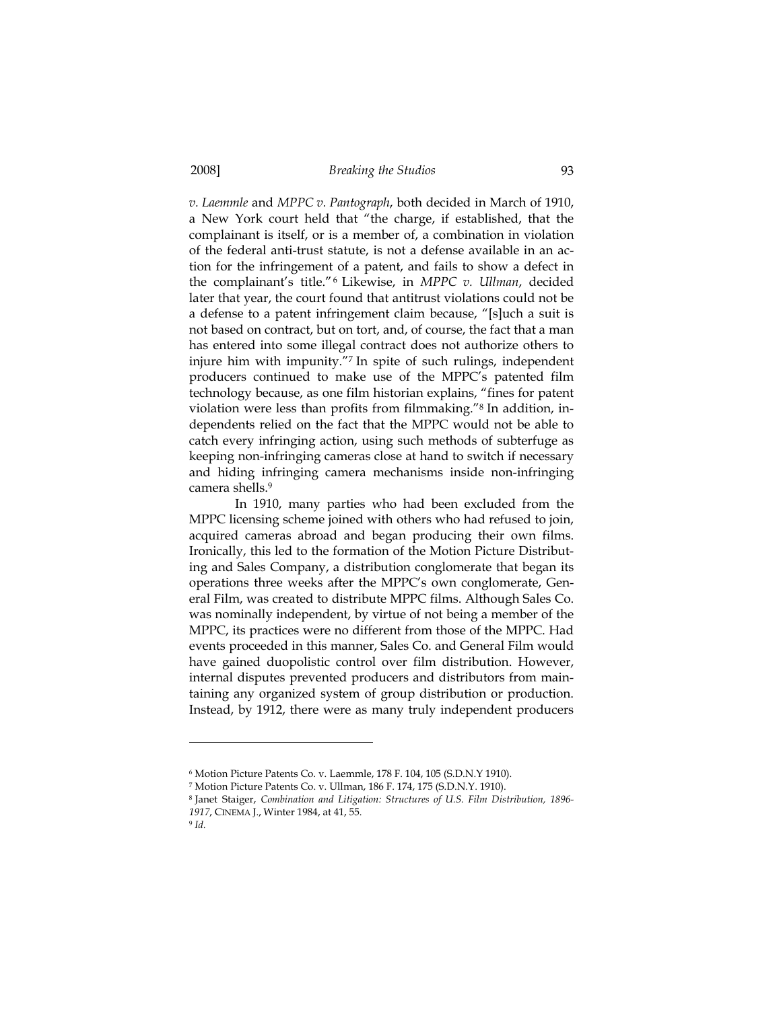*v. Laemmle* and *MPPC v. Pantograph*, both decided in March of 1910, a New York court held that "the charge, if established, that the complainant is itself, or is a member of, a combination in violation of the federal anti-trust statute, is not a defense available in an action for the infringement of a patent, and fails to show a defect in the complainant's title."6 Likewise, in *MPPC v. Ullman*, decided later that year, the court found that antitrust violations could not be a defense to a patent infringement claim because, "[s]uch a suit is not based on contract, but on tort, and, of course, the fact that a man has entered into some illegal contract does not authorize others to injure him with impunity."7 In spite of such rulings, independent producers continued to make use of the MPPC's patented film technology because, as one film historian explains, "fines for patent violation were less than profits from filmmaking."8 In addition, independents relied on the fact that the MPPC would not be able to catch every infringing action, using such methods of subterfuge as keeping non-infringing cameras close at hand to switch if necessary and hiding infringing camera mechanisms inside non-infringing camera shells.9

In 1910, many parties who had been excluded from the MPPC licensing scheme joined with others who had refused to join, acquired cameras abroad and began producing their own films. Ironically, this led to the formation of the Motion Picture Distributing and Sales Company, a distribution conglomerate that began its operations three weeks after the MPPC's own conglomerate, General Film, was created to distribute MPPC films. Although Sales Co. was nominally independent, by virtue of not being a member of the MPPC, its practices were no different from those of the MPPC. Had events proceeded in this manner, Sales Co. and General Film would have gained duopolistic control over film distribution. However, internal disputes prevented producers and distributors from maintaining any organized system of group distribution or production. Instead, by 1912, there were as many truly independent producers

<sup>6</sup> Motion Picture Patents Co. v. Laemmle, 178 F. 104, 105 (S.D.N.Y 1910).

<sup>7</sup> Motion Picture Patents Co. v. Ullman, 186 F. 174, 175 (S.D.N.Y. 1910).

<sup>8</sup> Janet Staiger, *Combination and Litigation: Structures of U.S. Film Distribution, 1896- 1917*, CINEMA J., Winter 1984, at 41, 55.

<sup>9</sup> *Id.*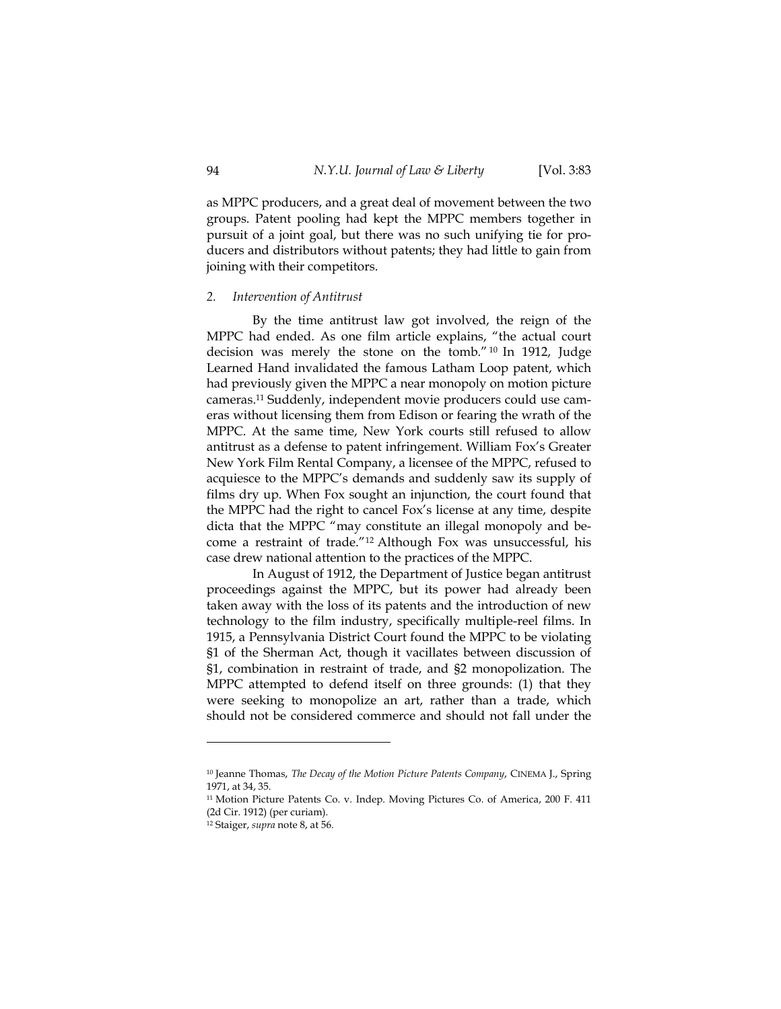as MPPC producers, and a great deal of movement between the two groups. Patent pooling had kept the MPPC members together in pursuit of a joint goal, but there was no such unifying tie for producers and distributors without patents; they had little to gain from joining with their competitors.

#### *2. Intervention of Antitrust*

By the time antitrust law got involved, the reign of the MPPC had ended. As one film article explains, "the actual court decision was merely the stone on the tomb." 10 In 1912, Judge Learned Hand invalidated the famous Latham Loop patent, which had previously given the MPPC a near monopoly on motion picture cameras.11 Suddenly, independent movie producers could use cameras without licensing them from Edison or fearing the wrath of the MPPC. At the same time, New York courts still refused to allow antitrust as a defense to patent infringement. William Fox's Greater New York Film Rental Company, a licensee of the MPPC, refused to acquiesce to the MPPC's demands and suddenly saw its supply of films dry up. When Fox sought an injunction, the court found that the MPPC had the right to cancel Fox's license at any time, despite dicta that the MPPC "may constitute an illegal monopoly and become a restraint of trade."12 Although Fox was unsuccessful, his case drew national attention to the practices of the MPPC.

In August of 1912, the Department of Justice began antitrust proceedings against the MPPC, but its power had already been taken away with the loss of its patents and the introduction of new technology to the film industry, specifically multiple-reel films. In 1915, a Pennsylvania District Court found the MPPC to be violating §1 of the Sherman Act, though it vacillates between discussion of §1, combination in restraint of trade, and §2 monopolization. The MPPC attempted to defend itself on three grounds: (1) that they were seeking to monopolize an art, rather than a trade, which should not be considered commerce and should not fall under the

<sup>10</sup> Jeanne Thomas, *The Decay of the Motion Picture Patents Company*, CINEMA J., Spring 1971, at 34, 35.

<sup>11</sup> Motion Picture Patents Co. v. Indep. Moving Pictures Co. of America, 200 F. 411 (2d Cir. 1912) (per curiam).

<sup>12</sup> Staiger, *supra* note 8, at 56.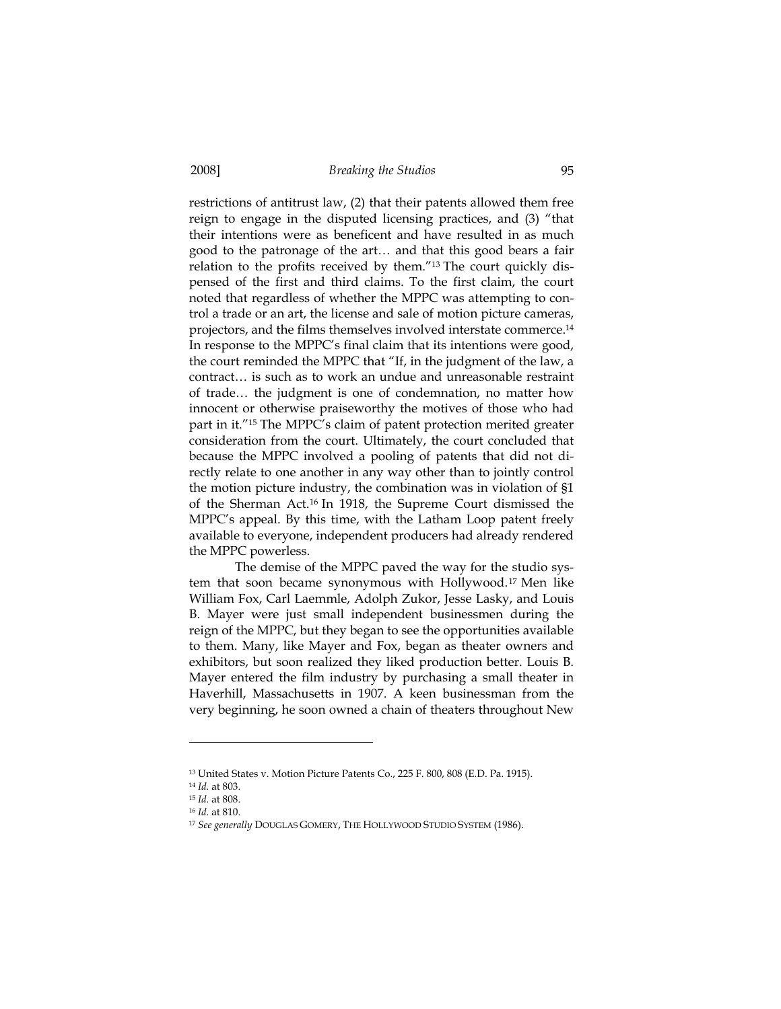restrictions of antitrust law, (2) that their patents allowed them free reign to engage in the disputed licensing practices, and (3) "that their intentions were as beneficent and have resulted in as much good to the patronage of the art… and that this good bears a fair relation to the profits received by them."13 The court quickly dispensed of the first and third claims. To the first claim, the court noted that regardless of whether the MPPC was attempting to control a trade or an art, the license and sale of motion picture cameras, projectors, and the films themselves involved interstate commerce.14 In response to the MPPC's final claim that its intentions were good, the court reminded the MPPC that "If, in the judgment of the law, a contract… is such as to work an undue and unreasonable restraint of trade… the judgment is one of condemnation, no matter how innocent or otherwise praiseworthy the motives of those who had part in it."15 The MPPC's claim of patent protection merited greater consideration from the court. Ultimately, the court concluded that because the MPPC involved a pooling of patents that did not directly relate to one another in any way other than to jointly control the motion picture industry, the combination was in violation of §1 of the Sherman Act.16 In 1918, the Supreme Court dismissed the MPPC's appeal. By this time, with the Latham Loop patent freely available to everyone, independent producers had already rendered the MPPC powerless.

The demise of the MPPC paved the way for the studio system that soon became synonymous with Hollywood.17 Men like William Fox, Carl Laemmle, Adolph Zukor, Jesse Lasky, and Louis B. Mayer were just small independent businessmen during the reign of the MPPC, but they began to see the opportunities available to them. Many, like Mayer and Fox, began as theater owners and exhibitors, but soon realized they liked production better. Louis B. Mayer entered the film industry by purchasing a small theater in Haverhill, Massachusetts in 1907. A keen businessman from the very beginning, he soon owned a chain of theaters throughout New

<sup>13</sup> United States v. Motion Picture Patents Co., 225 F. 800, 808 (E.D. Pa. 1915).

<sup>14</sup> *Id.* at 803.

<sup>&</sup>lt;sup>16</sup> *Id.* at 810.

<sup>17</sup> *See generally* DOUGLAS GOMERY, THE HOLLYWOOD STUDIO SYSTEM (1986).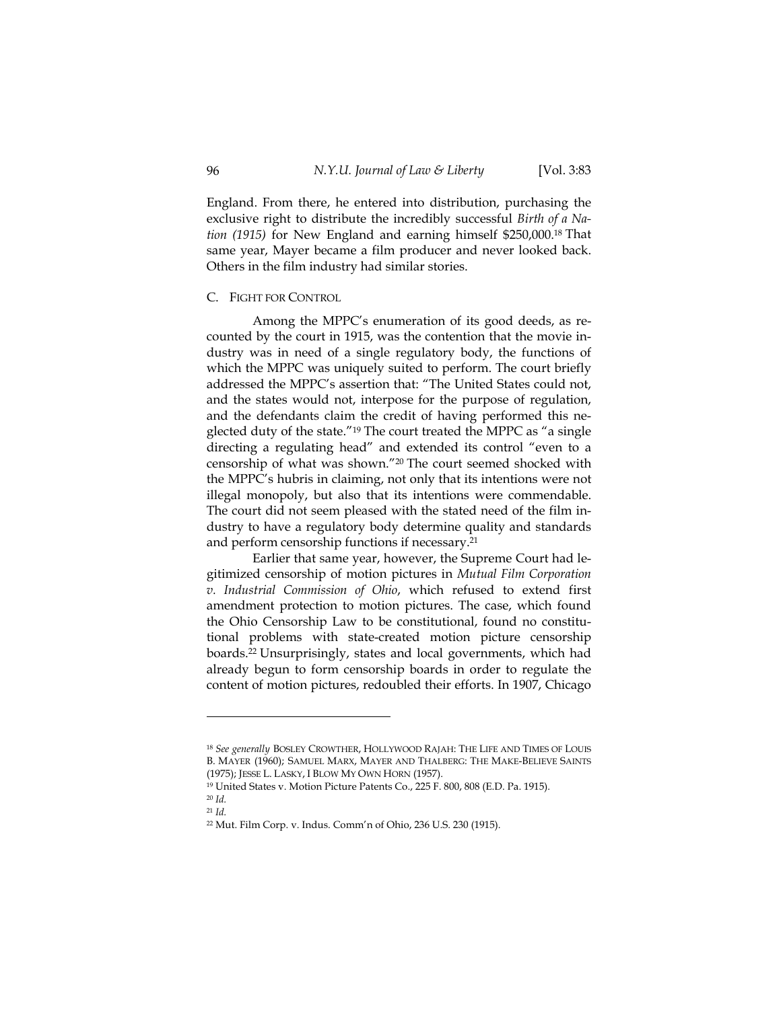England. From there, he entered into distribution, purchasing the exclusive right to distribute the incredibly successful *Birth of a Nation (1915)* for New England and earning himself \$250,000.18 That same year, Mayer became a film producer and never looked back. Others in the film industry had similar stories.

# C. FIGHT FOR CONTROL

Among the MPPC's enumeration of its good deeds, as recounted by the court in 1915, was the contention that the movie industry was in need of a single regulatory body, the functions of which the MPPC was uniquely suited to perform. The court briefly addressed the MPPC's assertion that: "The United States could not, and the states would not, interpose for the purpose of regulation, and the defendants claim the credit of having performed this neglected duty of the state."19 The court treated the MPPC as "a single directing a regulating head" and extended its control "even to a censorship of what was shown."20 The court seemed shocked with the MPPC's hubris in claiming, not only that its intentions were not illegal monopoly, but also that its intentions were commendable. The court did not seem pleased with the stated need of the film industry to have a regulatory body determine quality and standards and perform censorship functions if necessary.21

Earlier that same year, however, the Supreme Court had legitimized censorship of motion pictures in *Mutual Film Corporation v. Industrial Commission of Ohio*, which refused to extend first amendment protection to motion pictures. The case, which found the Ohio Censorship Law to be constitutional, found no constitutional problems with state-created motion picture censorship boards.22 Unsurprisingly, states and local governments, which had already begun to form censorship boards in order to regulate the content of motion pictures, redoubled their efforts. In 1907, Chicago

<sup>18</sup> *See generally* BOSLEY CROWTHER, HOLLYWOOD RAJAH: THE LIFE AND TIMES OF LOUIS B. MAYER (1960); SAMUEL MARX, MAYER AND THALBERG: THE MAKE-BELIEVE SAINTS (1975); JESSE L. LASKY, <sup>I</sup> BLOW MY OWN HORN (1957). 19 United States v. Motion Picture Patents Co., 225 F. 800, 808 (E.D. Pa. 1915).

 $^{20}$  *Id.*  $^{21}$  *Id.* 

<sup>22</sup> Mut. Film Corp. v. Indus. Comm'n of Ohio, 236 U.S. 230 (1915).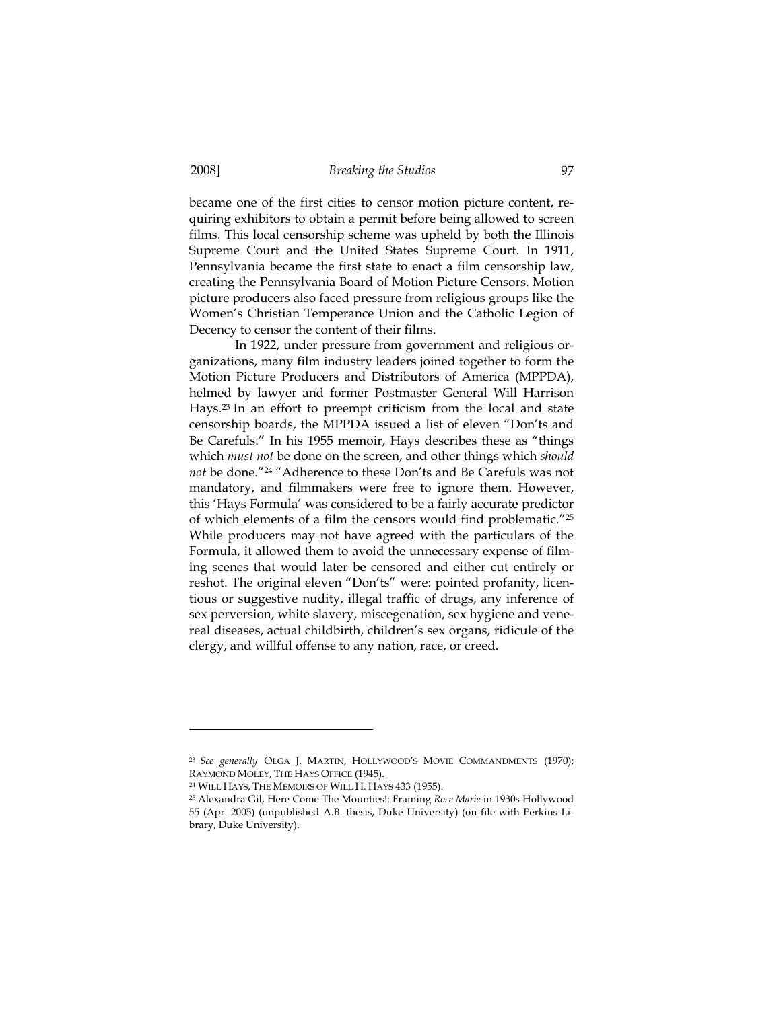became one of the first cities to censor motion picture content, requiring exhibitors to obtain a permit before being allowed to screen films. This local censorship scheme was upheld by both the Illinois Supreme Court and the United States Supreme Court. In 1911, Pennsylvania became the first state to enact a film censorship law, creating the Pennsylvania Board of Motion Picture Censors. Motion picture producers also faced pressure from religious groups like the Women's Christian Temperance Union and the Catholic Legion of Decency to censor the content of their films.

In 1922, under pressure from government and religious organizations, many film industry leaders joined together to form the Motion Picture Producers and Distributors of America (MPPDA), helmed by lawyer and former Postmaster General Will Harrison Hays.23 In an effort to preempt criticism from the local and state censorship boards, the MPPDA issued a list of eleven "Don'ts and Be Carefuls." In his 1955 memoir, Hays describes these as "things which *must not* be done on the screen, and other things which *should not* be done."24 "Adherence to these Don'ts and Be Carefuls was not mandatory, and filmmakers were free to ignore them. However, this 'Hays Formula' was considered to be a fairly accurate predictor of which elements of a film the censors would find problematic."25 While producers may not have agreed with the particulars of the Formula, it allowed them to avoid the unnecessary expense of filming scenes that would later be censored and either cut entirely or reshot. The original eleven "Don'ts" were: pointed profanity, licentious or suggestive nudity, illegal traffic of drugs, any inference of sex perversion, white slavery, miscegenation, sex hygiene and venereal diseases, actual childbirth, children's sex organs, ridicule of the clergy, and willful offense to any nation, race, or creed.

<sup>23</sup> *See generally* OLGA J. MARTIN, HOLLYWOOD'S MOVIE COMMANDMENTS (1970); RAYMOND MOLEY, THE HAYS OFFICE (1945).<br><sup>24</sup> WILL HAYS, THE MEMOIRS OF WILL H. HAYS 433 (1955).

<sup>25</sup> Alexandra Gil, Here Come The Mounties!: Framing *Rose Marie* in 1930s Hollywood 55 (Apr. 2005) (unpublished A.B. thesis, Duke University) (on file with Perkins Library, Duke University).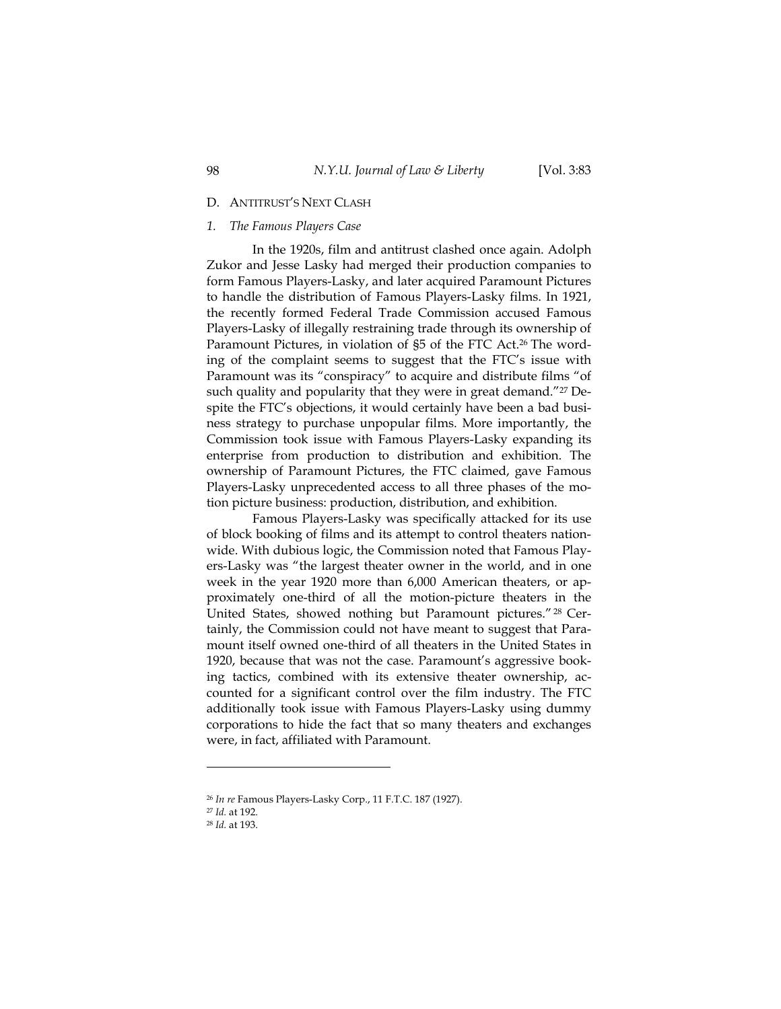# D. ANTITRUST'S NEXT CLASH

# *1. The Famous Players Case*

In the 1920s, film and antitrust clashed once again. Adolph Zukor and Jesse Lasky had merged their production companies to form Famous Players-Lasky, and later acquired Paramount Pictures to handle the distribution of Famous Players-Lasky films. In 1921, the recently formed Federal Trade Commission accused Famous Players-Lasky of illegally restraining trade through its ownership of Paramount Pictures, in violation of §5 of the FTC Act.26 The wording of the complaint seems to suggest that the FTC's issue with Paramount was its "conspiracy" to acquire and distribute films "of such quality and popularity that they were in great demand."<sup>27</sup> Despite the FTC's objections, it would certainly have been a bad business strategy to purchase unpopular films. More importantly, the Commission took issue with Famous Players-Lasky expanding its enterprise from production to distribution and exhibition. The ownership of Paramount Pictures, the FTC claimed, gave Famous Players-Lasky unprecedented access to all three phases of the motion picture business: production, distribution, and exhibition.

Famous Players-Lasky was specifically attacked for its use of block booking of films and its attempt to control theaters nationwide. With dubious logic, the Commission noted that Famous Players-Lasky was "the largest theater owner in the world, and in one week in the year 1920 more than 6,000 American theaters, or approximately one-third of all the motion-picture theaters in the United States, showed nothing but Paramount pictures." 28 Certainly, the Commission could not have meant to suggest that Paramount itself owned one-third of all theaters in the United States in 1920, because that was not the case. Paramount's aggressive booking tactics, combined with its extensive theater ownership, accounted for a significant control over the film industry. The FTC additionally took issue with Famous Players-Lasky using dummy corporations to hide the fact that so many theaters and exchanges were, in fact, affiliated with Paramount.

<sup>26</sup> *In re* Famous Players-Lasky Corp., 11 F.T.C. 187 (1927). 27 *Id.* at 192.

<sup>28</sup> *Id.* at 193.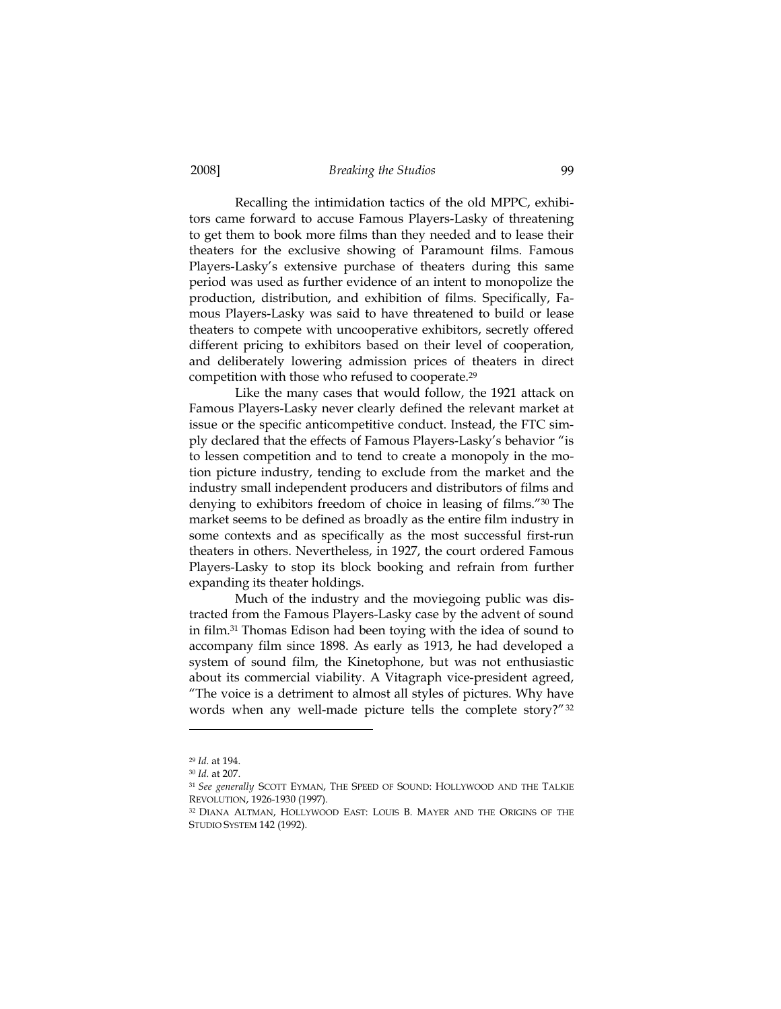Recalling the intimidation tactics of the old MPPC, exhibitors came forward to accuse Famous Players-Lasky of threatening to get them to book more films than they needed and to lease their theaters for the exclusive showing of Paramount films. Famous Players-Lasky's extensive purchase of theaters during this same period was used as further evidence of an intent to monopolize the production, distribution, and exhibition of films. Specifically, Famous Players-Lasky was said to have threatened to build or lease theaters to compete with uncooperative exhibitors, secretly offered different pricing to exhibitors based on their level of cooperation, and deliberately lowering admission prices of theaters in direct competition with those who refused to cooperate.29

Like the many cases that would follow, the 1921 attack on Famous Players-Lasky never clearly defined the relevant market at issue or the specific anticompetitive conduct. Instead, the FTC simply declared that the effects of Famous Players-Lasky's behavior "is to lessen competition and to tend to create a monopoly in the motion picture industry, tending to exclude from the market and the industry small independent producers and distributors of films and denying to exhibitors freedom of choice in leasing of films."30 The market seems to be defined as broadly as the entire film industry in some contexts and as specifically as the most successful first-run theaters in others. Nevertheless, in 1927, the court ordered Famous Players-Lasky to stop its block booking and refrain from further expanding its theater holdings.

Much of the industry and the moviegoing public was distracted from the Famous Players-Lasky case by the advent of sound in film.31 Thomas Edison had been toying with the idea of sound to accompany film since 1898. As early as 1913, he had developed a system of sound film, the Kinetophone, but was not enthusiastic about its commercial viability. A Vitagraph vice-president agreed, "The voice is a detriment to almost all styles of pictures. Why have words when any well-made picture tells the complete story?"32

<sup>29</sup> *Id.* at 194. 30 *Id.* at 207. 31 *See generally* SCOTT EYMAN, THE SPEED OF SOUND: HOLLYWOOD AND THE TALKIE REVOLUTION, 1926-1930 (1997).<br><sup>32</sup> DIANA ALTMAN, HOLLYWOOD EAST: LOUIS B. MAYER AND THE ORIGINS OF THE

STUDIO SYSTEM 142 (1992).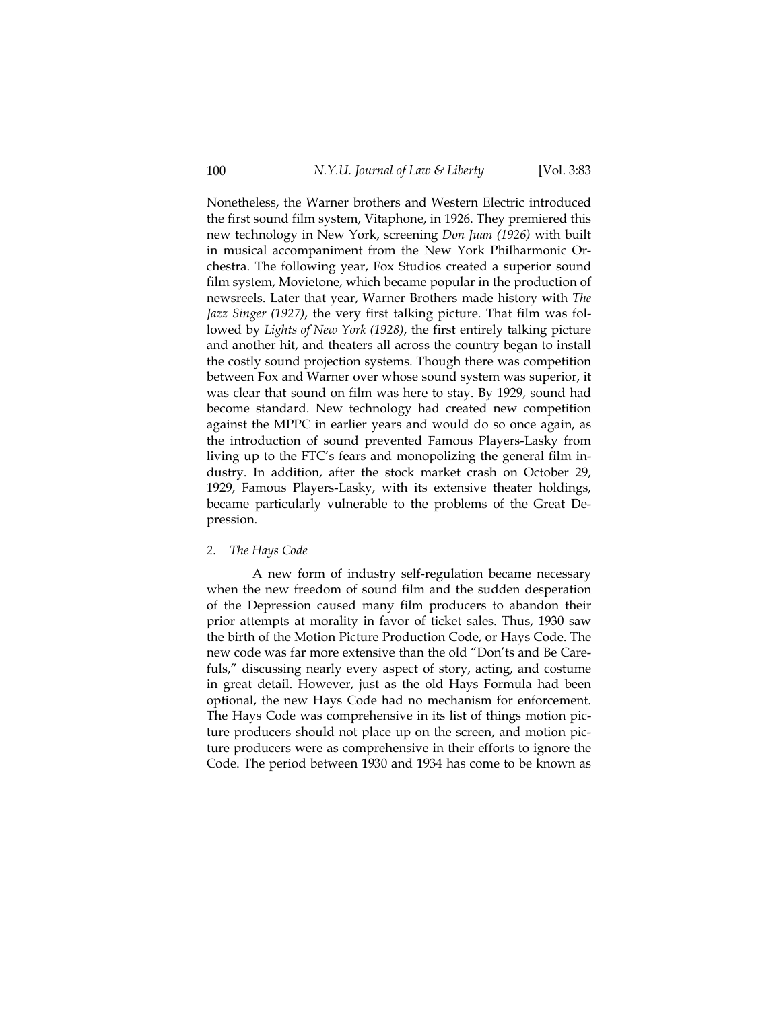Nonetheless, the Warner brothers and Western Electric introduced the first sound film system, Vitaphone, in 1926. They premiered this new technology in New York, screening *Don Juan (1926)* with built in musical accompaniment from the New York Philharmonic Orchestra. The following year, Fox Studios created a superior sound film system, Movietone, which became popular in the production of newsreels. Later that year, Warner Brothers made history with *The Jazz Singer (1927)*, the very first talking picture. That film was followed by *Lights of New York (1928)*, the first entirely talking picture and another hit, and theaters all across the country began to install the costly sound projection systems. Though there was competition between Fox and Warner over whose sound system was superior, it was clear that sound on film was here to stay. By 1929, sound had become standard. New technology had created new competition against the MPPC in earlier years and would do so once again, as the introduction of sound prevented Famous Players-Lasky from living up to the FTC's fears and monopolizing the general film industry. In addition, after the stock market crash on October 29, 1929, Famous Players-Lasky, with its extensive theater holdings, became particularly vulnerable to the problems of the Great Depression.

#### *2. The Hays Code*

A new form of industry self-regulation became necessary when the new freedom of sound film and the sudden desperation of the Depression caused many film producers to abandon their prior attempts at morality in favor of ticket sales. Thus, 1930 saw the birth of the Motion Picture Production Code, or Hays Code. The new code was far more extensive than the old "Don'ts and Be Carefuls," discussing nearly every aspect of story, acting, and costume in great detail. However, just as the old Hays Formula had been optional, the new Hays Code had no mechanism for enforcement. The Hays Code was comprehensive in its list of things motion picture producers should not place up on the screen, and motion picture producers were as comprehensive in their efforts to ignore the Code. The period between 1930 and 1934 has come to be known as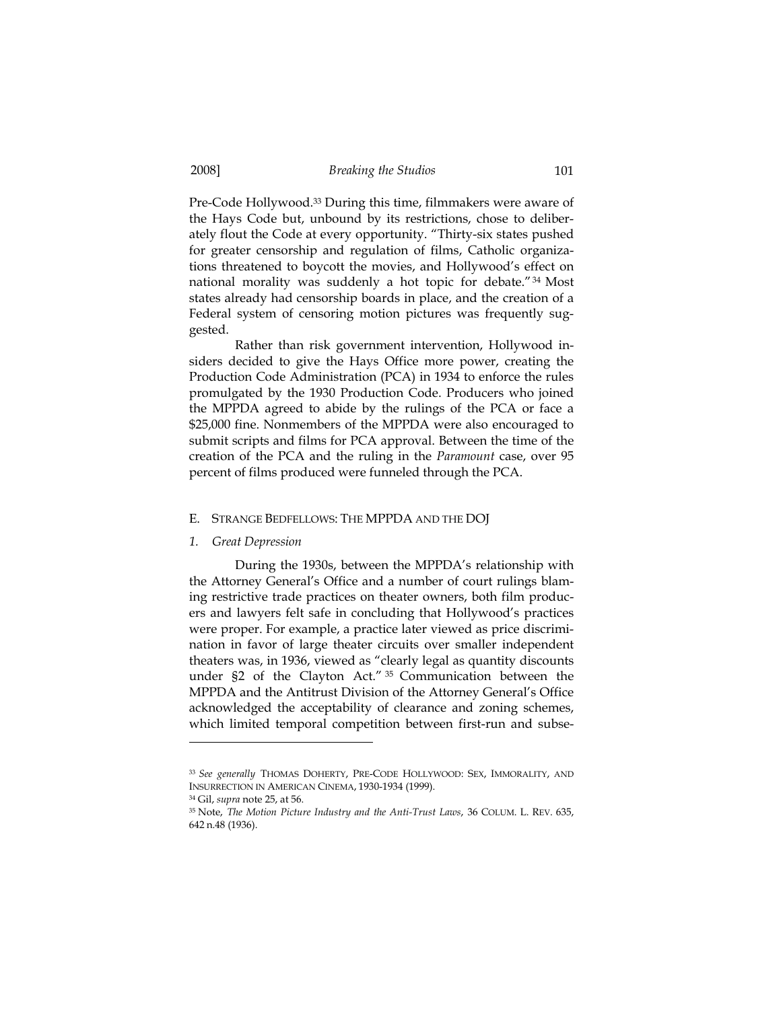Pre-Code Hollywood.33 During this time, filmmakers were aware of the Hays Code but, unbound by its restrictions, chose to deliberately flout the Code at every opportunity. "Thirty-six states pushed for greater censorship and regulation of films, Catholic organizations threatened to boycott the movies, and Hollywood's effect on national morality was suddenly a hot topic for debate."34 Most states already had censorship boards in place, and the creation of a Federal system of censoring motion pictures was frequently suggested.

Rather than risk government intervention, Hollywood insiders decided to give the Hays Office more power, creating the Production Code Administration (PCA) in 1934 to enforce the rules promulgated by the 1930 Production Code. Producers who joined the MPPDA agreed to abide by the rulings of the PCA or face a \$25,000 fine. Nonmembers of the MPPDA were also encouraged to submit scripts and films for PCA approval. Between the time of the creation of the PCA and the ruling in the *Paramount* case, over 95 percent of films produced were funneled through the PCA.

#### E. STRANGE BEDFELLOWS: THE MPPDA AND THE DOJ

#### *1. Great Depression*

During the 1930s, between the MPPDA's relationship with the Attorney General's Office and a number of court rulings blaming restrictive trade practices on theater owners, both film producers and lawyers felt safe in concluding that Hollywood's practices were proper. For example, a practice later viewed as price discrimination in favor of large theater circuits over smaller independent theaters was, in 1936, viewed as "clearly legal as quantity discounts under §2 of the Clayton Act." 35 Communication between the MPPDA and the Antitrust Division of the Attorney General's Office acknowledged the acceptability of clearance and zoning schemes, which limited temporal competition between first-run and subse-

<sup>33</sup> *See generally* THOMAS DOHERTY, PRE-CODE HOLLYWOOD: SEX, IMMORALITY, AND INSURRECTION IN AMERICAN CINEMA, 1930-1934 (1999).

<sup>&</sup>lt;sup>34</sup> Gil, *supra* note 25, at 56.<br><sup>35</sup> Note, *The Motion Picture Industry and the Anti-Trust Laws*, 36 COLUM. L. REV. 635, 642 n.48 (1936).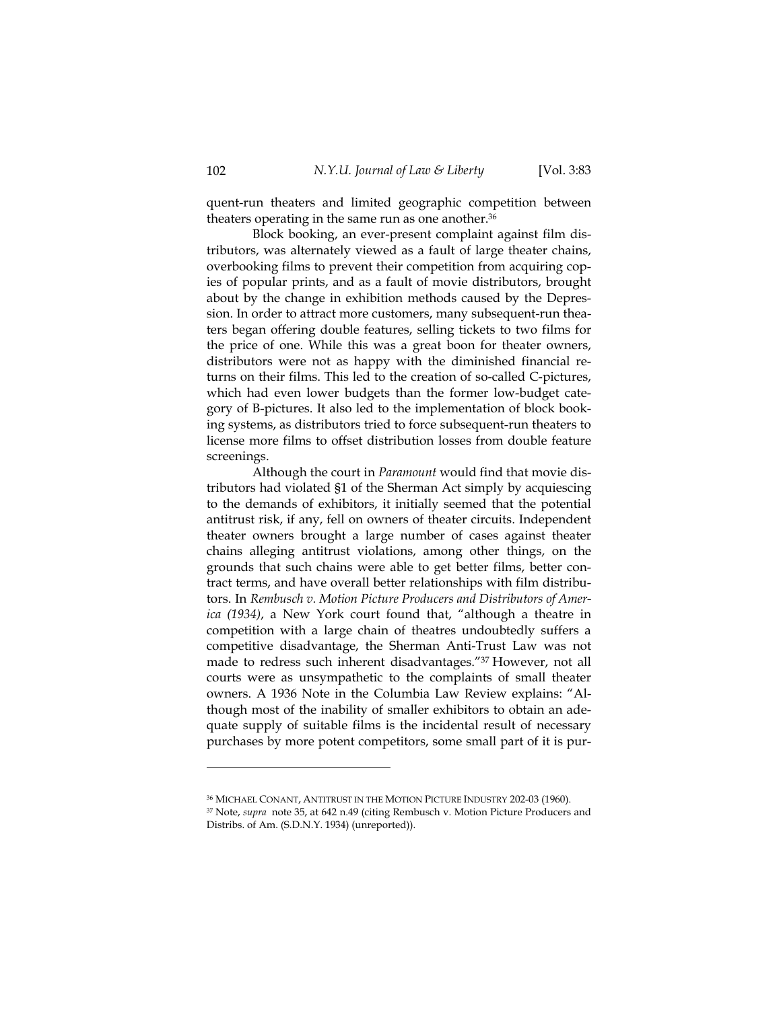quent-run theaters and limited geographic competition between theaters operating in the same run as one another.<sup>36</sup>

Block booking, an ever-present complaint against film distributors, was alternately viewed as a fault of large theater chains, overbooking films to prevent their competition from acquiring copies of popular prints, and as a fault of movie distributors, brought about by the change in exhibition methods caused by the Depression. In order to attract more customers, many subsequent-run theaters began offering double features, selling tickets to two films for the price of one. While this was a great boon for theater owners, distributors were not as happy with the diminished financial returns on their films. This led to the creation of so-called C-pictures, which had even lower budgets than the former low-budget category of B-pictures. It also led to the implementation of block booking systems, as distributors tried to force subsequent-run theaters to license more films to offset distribution losses from double feature screenings.

Although the court in *Paramount* would find that movie distributors had violated §1 of the Sherman Act simply by acquiescing to the demands of exhibitors, it initially seemed that the potential antitrust risk, if any, fell on owners of theater circuits. Independent theater owners brought a large number of cases against theater chains alleging antitrust violations, among other things, on the grounds that such chains were able to get better films, better contract terms, and have overall better relationships with film distributors. In *Rembusch v. Motion Picture Producers and Distributors of America (1934)*, a New York court found that, "although a theatre in competition with a large chain of theatres undoubtedly suffers a competitive disadvantage, the Sherman Anti-Trust Law was not made to redress such inherent disadvantages."37 However, not all courts were as unsympathetic to the complaints of small theater owners. A 1936 Note in the Columbia Law Review explains: "Although most of the inability of smaller exhibitors to obtain an adequate supply of suitable films is the incidental result of necessary purchases by more potent competitors, some small part of it is pur-

<sup>36</sup> MICHAEL CONANT, ANTITRUST IN THE MOTION PICTURE INDUSTRY 202-03 (1960). 37 Note, *supra* note 35, at 642 n.49 (citing Rembusch v. Motion Picture Producers and Distribs. of Am. (S.D.N.Y. 1934) (unreported)).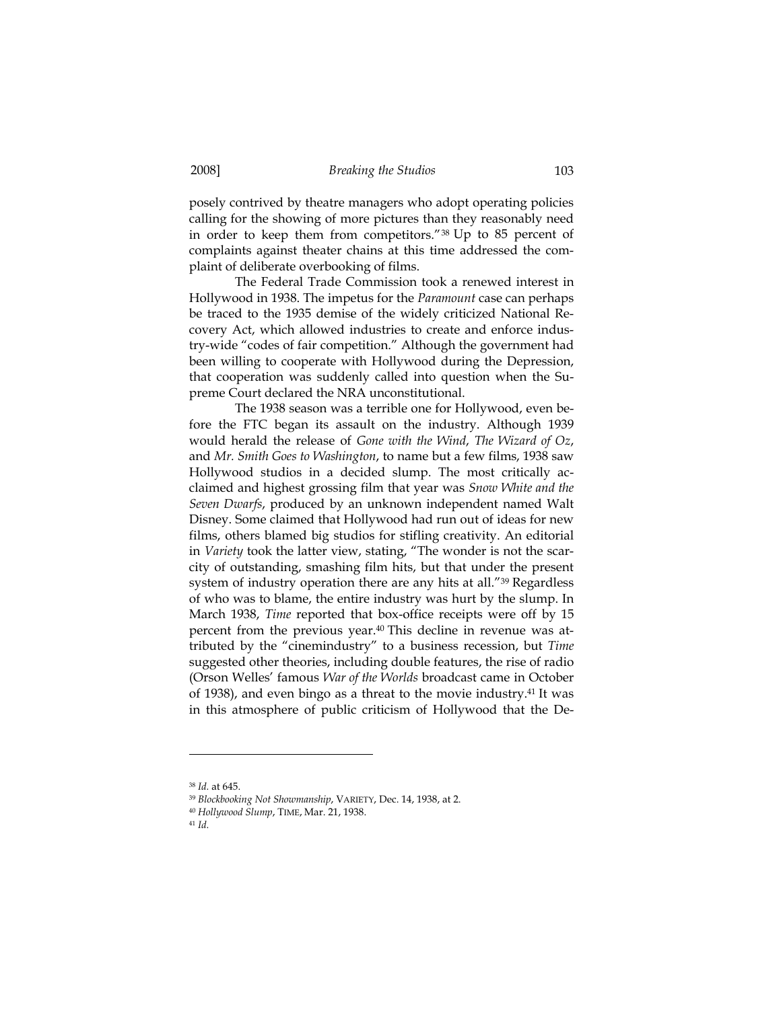posely contrived by theatre managers who adopt operating policies calling for the showing of more pictures than they reasonably need in order to keep them from competitors."38 Up to 85 percent of complaints against theater chains at this time addressed the complaint of deliberate overbooking of films.

The Federal Trade Commission took a renewed interest in Hollywood in 1938. The impetus for the *Paramount* case can perhaps be traced to the 1935 demise of the widely criticized National Recovery Act, which allowed industries to create and enforce industry-wide "codes of fair competition." Although the government had been willing to cooperate with Hollywood during the Depression, that cooperation was suddenly called into question when the Supreme Court declared the NRA unconstitutional.

The 1938 season was a terrible one for Hollywood, even before the FTC began its assault on the industry. Although 1939 would herald the release of *Gone with the Wind*, *The Wizard of Oz*, and *Mr. Smith Goes to Washington*, to name but a few films, 1938 saw Hollywood studios in a decided slump. The most critically acclaimed and highest grossing film that year was *Snow White and the Seven Dwarfs*, produced by an unknown independent named Walt Disney. Some claimed that Hollywood had run out of ideas for new films, others blamed big studios for stifling creativity. An editorial in *Variety* took the latter view, stating, "The wonder is not the scarcity of outstanding, smashing film hits, but that under the present system of industry operation there are any hits at all."<sup>39</sup> Regardless of who was to blame, the entire industry was hurt by the slump. In March 1938, *Time* reported that box-office receipts were off by 15 percent from the previous year.40 This decline in revenue was attributed by the "cinemindustry" to a business recession, but *Time* suggested other theories, including double features, the rise of radio (Orson Welles' famous *War of the Worlds* broadcast came in October of 1938), and even bingo as a threat to the movie industry.<sup>41</sup> It was in this atmosphere of public criticism of Hollywood that the De-

<sup>38</sup> *Id.* at 645.

<sup>39</sup> *Blockbooking Not Showmanship*, VARIETY, Dec. 14, 1938, at 2. 40 *Hollywood Slump*, TIME, Mar. 21, 1938.

<sup>41</sup> *Id.*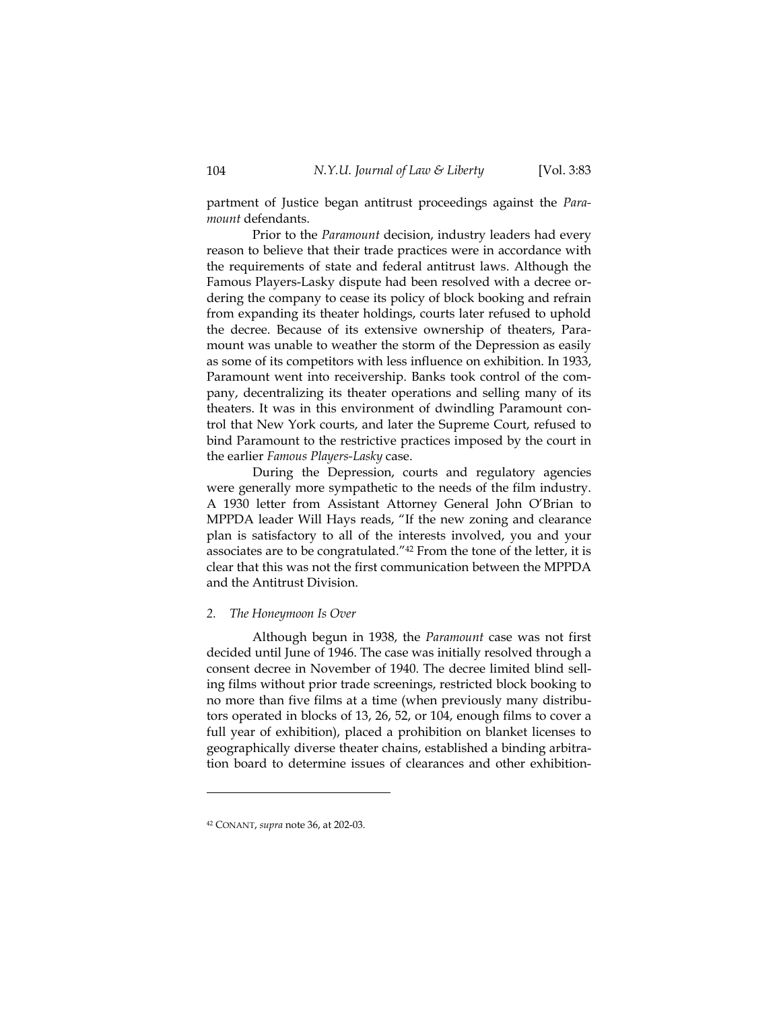partment of Justice began antitrust proceedings against the *Paramount* defendants.

Prior to the *Paramount* decision, industry leaders had every reason to believe that their trade practices were in accordance with the requirements of state and federal antitrust laws. Although the Famous Players-Lasky dispute had been resolved with a decree ordering the company to cease its policy of block booking and refrain from expanding its theater holdings, courts later refused to uphold the decree. Because of its extensive ownership of theaters, Paramount was unable to weather the storm of the Depression as easily as some of its competitors with less influence on exhibition. In 1933, Paramount went into receivership. Banks took control of the company, decentralizing its theater operations and selling many of its theaters. It was in this environment of dwindling Paramount control that New York courts, and later the Supreme Court, refused to bind Paramount to the restrictive practices imposed by the court in the earlier *Famous Players-Lasky* case.

During the Depression, courts and regulatory agencies were generally more sympathetic to the needs of the film industry. A 1930 letter from Assistant Attorney General John O'Brian to MPPDA leader Will Hays reads, "If the new zoning and clearance plan is satisfactory to all of the interests involved, you and your associates are to be congratulated."42 From the tone of the letter, it is clear that this was not the first communication between the MPPDA and the Antitrust Division.

#### *2. The Honeymoon Is Over*

Although begun in 1938, the *Paramount* case was not first decided until June of 1946. The case was initially resolved through a consent decree in November of 1940. The decree limited blind selling films without prior trade screenings, restricted block booking to no more than five films at a time (when previously many distributors operated in blocks of 13, 26, 52, or 104, enough films to cover a full year of exhibition), placed a prohibition on blanket licenses to geographically diverse theater chains, established a binding arbitration board to determine issues of clearances and other exhibition-

<sup>42</sup> CONANT, *supra* note 36, at 202-03.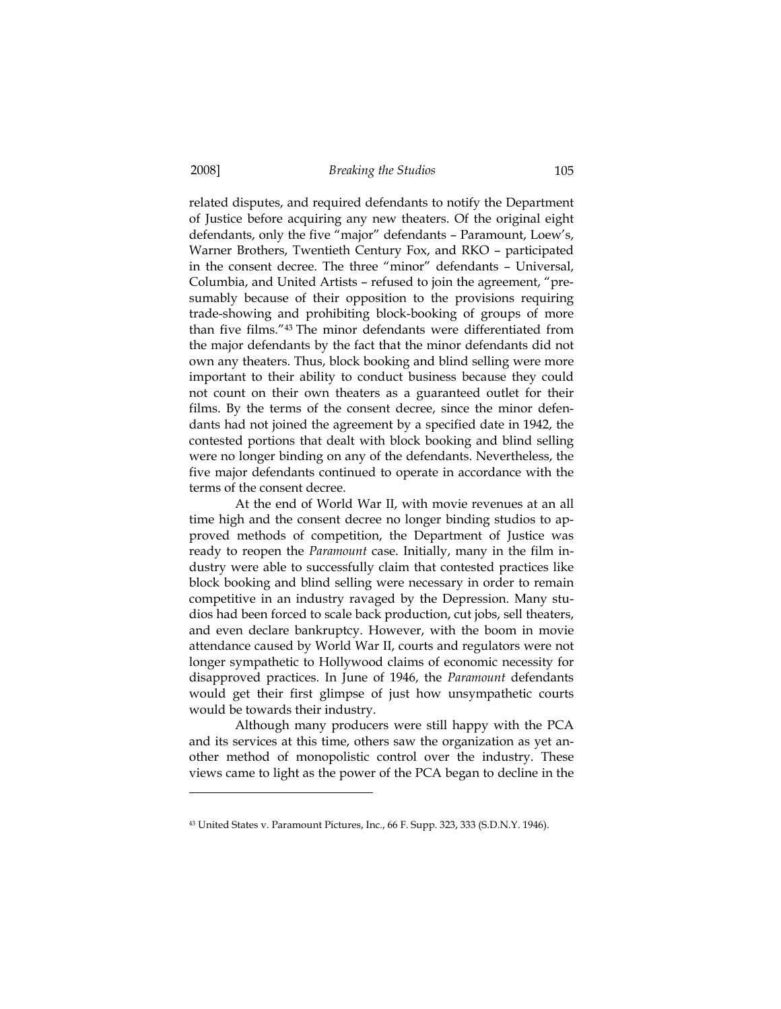related disputes, and required defendants to notify the Department of Justice before acquiring any new theaters. Of the original eight defendants, only the five "major" defendants – Paramount, Loew's, Warner Brothers, Twentieth Century Fox, and RKO – participated in the consent decree. The three "minor" defendants – Universal, Columbia, and United Artists – refused to join the agreement, "presumably because of their opposition to the provisions requiring trade-showing and prohibiting block-booking of groups of more than five films."43 The minor defendants were differentiated from the major defendants by the fact that the minor defendants did not own any theaters. Thus, block booking and blind selling were more important to their ability to conduct business because they could not count on their own theaters as a guaranteed outlet for their films. By the terms of the consent decree, since the minor defendants had not joined the agreement by a specified date in 1942, the contested portions that dealt with block booking and blind selling were no longer binding on any of the defendants. Nevertheless, the five major defendants continued to operate in accordance with the terms of the consent decree.

At the end of World War II, with movie revenues at an all time high and the consent decree no longer binding studios to approved methods of competition, the Department of Justice was ready to reopen the *Paramount* case. Initially, many in the film industry were able to successfully claim that contested practices like block booking and blind selling were necessary in order to remain competitive in an industry ravaged by the Depression. Many studios had been forced to scale back production, cut jobs, sell theaters, and even declare bankruptcy. However, with the boom in movie attendance caused by World War II, courts and regulators were not longer sympathetic to Hollywood claims of economic necessity for disapproved practices. In June of 1946, the *Paramount* defendants would get their first glimpse of just how unsympathetic courts would be towards their industry.

Although many producers were still happy with the PCA and its services at this time, others saw the organization as yet another method of monopolistic control over the industry. These views came to light as the power of the PCA began to decline in the

<sup>43</sup> United States v. Paramount Pictures, Inc., 66 F. Supp. 323, 333 (S.D.N.Y. 1946).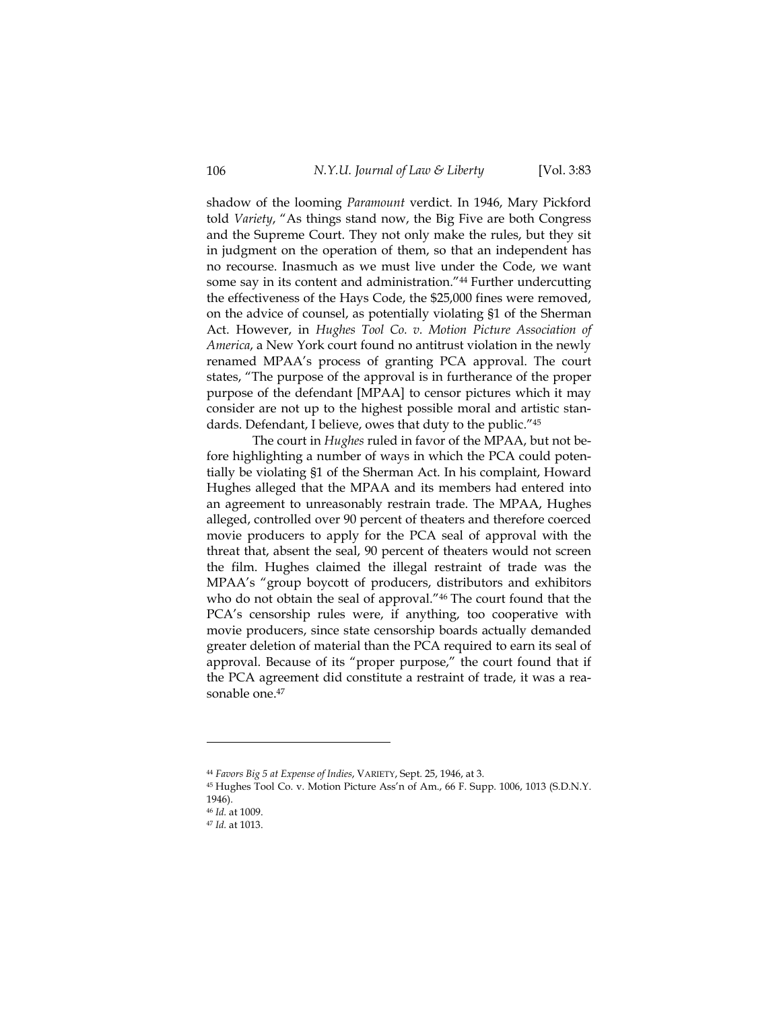shadow of the looming *Paramount* verdict. In 1946, Mary Pickford told *Variety*, "As things stand now, the Big Five are both Congress and the Supreme Court. They not only make the rules, but they sit in judgment on the operation of them, so that an independent has no recourse. Inasmuch as we must live under the Code, we want some say in its content and administration."44 Further undercutting the effectiveness of the Hays Code, the \$25,000 fines were removed, on the advice of counsel, as potentially violating §1 of the Sherman Act. However, in *Hughes Tool Co. v. Motion Picture Association of America*, a New York court found no antitrust violation in the newly renamed MPAA's process of granting PCA approval. The court states, "The purpose of the approval is in furtherance of the proper purpose of the defendant [MPAA] to censor pictures which it may consider are not up to the highest possible moral and artistic standards. Defendant, I believe, owes that duty to the public."45

The court in *Hughes* ruled in favor of the MPAA, but not before highlighting a number of ways in which the PCA could potentially be violating §1 of the Sherman Act. In his complaint, Howard Hughes alleged that the MPAA and its members had entered into an agreement to unreasonably restrain trade. The MPAA, Hughes alleged, controlled over 90 percent of theaters and therefore coerced movie producers to apply for the PCA seal of approval with the threat that, absent the seal, 90 percent of theaters would not screen the film. Hughes claimed the illegal restraint of trade was the MPAA's "group boycott of producers, distributors and exhibitors who do not obtain the seal of approval."<sup>46</sup> The court found that the PCA's censorship rules were, if anything, too cooperative with movie producers, since state censorship boards actually demanded greater deletion of material than the PCA required to earn its seal of approval. Because of its "proper purpose," the court found that if the PCA agreement did constitute a restraint of trade, it was a reasonable one.<sup>47</sup>

<sup>44</sup> *Favors Big 5 at Expense of Indies*, VARIETY, Sept. 25, 1946, at 3. 45 Hughes Tool Co. v. Motion Picture Ass'n of Am., 66 F. Supp. 1006, 1013 (S.D.N.Y.

<sup>1946).</sup> 

<sup>46</sup> *Id.* at 1009.

<sup>47</sup> *Id.* at 1013.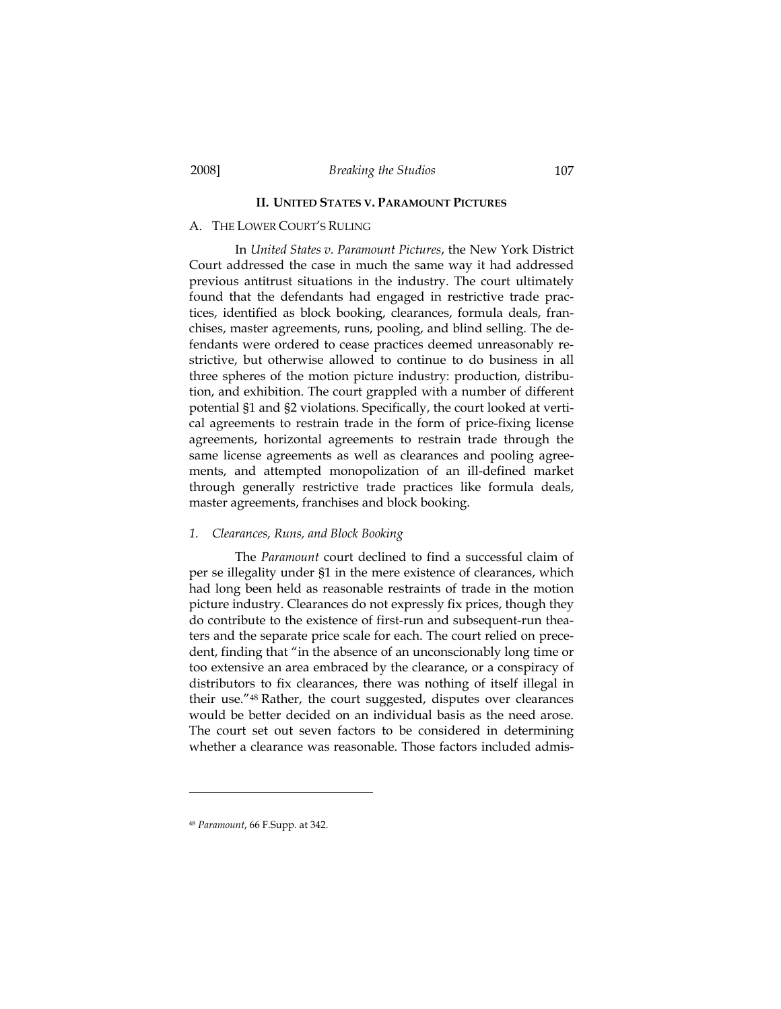# **II. UNITED STATES V. PARAMOUNT PICTURES**

# A. THE LOWER COURT'S RULING

In *United States v. Paramount Pictures*, the New York District Court addressed the case in much the same way it had addressed previous antitrust situations in the industry. The court ultimately found that the defendants had engaged in restrictive trade practices, identified as block booking, clearances, formula deals, franchises, master agreements, runs, pooling, and blind selling. The defendants were ordered to cease practices deemed unreasonably restrictive, but otherwise allowed to continue to do business in all three spheres of the motion picture industry: production, distribution, and exhibition. The court grappled with a number of different potential §1 and §2 violations. Specifically, the court looked at vertical agreements to restrain trade in the form of price-fixing license agreements, horizontal agreements to restrain trade through the same license agreements as well as clearances and pooling agreements, and attempted monopolization of an ill-defined market through generally restrictive trade practices like formula deals, master agreements, franchises and block booking.

#### *1. Clearances, Runs, and Block Booking*

The *Paramount* court declined to find a successful claim of per se illegality under §1 in the mere existence of clearances, which had long been held as reasonable restraints of trade in the motion picture industry. Clearances do not expressly fix prices, though they do contribute to the existence of first-run and subsequent-run theaters and the separate price scale for each. The court relied on precedent, finding that "in the absence of an unconscionably long time or too extensive an area embraced by the clearance, or a conspiracy of distributors to fix clearances, there was nothing of itself illegal in their use."48 Rather, the court suggested, disputes over clearances would be better decided on an individual basis as the need arose. The court set out seven factors to be considered in determining whether a clearance was reasonable. Those factors included admis-

<sup>48</sup> *Paramount*, 66 F.Supp. at 342.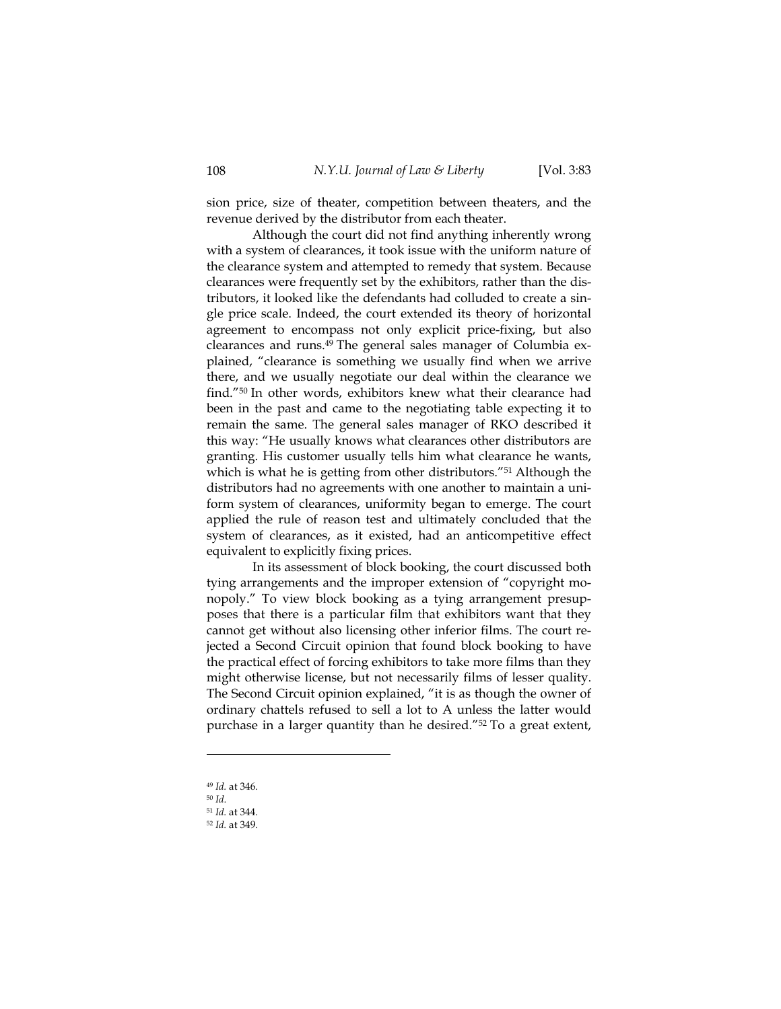sion price, size of theater, competition between theaters, and the revenue derived by the distributor from each theater.

Although the court did not find anything inherently wrong with a system of clearances, it took issue with the uniform nature of the clearance system and attempted to remedy that system. Because clearances were frequently set by the exhibitors, rather than the distributors, it looked like the defendants had colluded to create a single price scale. Indeed, the court extended its theory of horizontal agreement to encompass not only explicit price-fixing, but also clearances and runs.49 The general sales manager of Columbia explained, "clearance is something we usually find when we arrive there, and we usually negotiate our deal within the clearance we find."50 In other words, exhibitors knew what their clearance had been in the past and came to the negotiating table expecting it to remain the same. The general sales manager of RKO described it this way: "He usually knows what clearances other distributors are granting. His customer usually tells him what clearance he wants, which is what he is getting from other distributors."<sup>51</sup> Although the distributors had no agreements with one another to maintain a uniform system of clearances, uniformity began to emerge. The court applied the rule of reason test and ultimately concluded that the system of clearances, as it existed, had an anticompetitive effect equivalent to explicitly fixing prices.

In its assessment of block booking, the court discussed both tying arrangements and the improper extension of "copyright monopoly." To view block booking as a tying arrangement presupposes that there is a particular film that exhibitors want that they cannot get without also licensing other inferior films. The court rejected a Second Circuit opinion that found block booking to have the practical effect of forcing exhibitors to take more films than they might otherwise license, but not necessarily films of lesser quality. The Second Circuit opinion explained, "it is as though the owner of ordinary chattels refused to sell a lot to A unless the latter would purchase in a larger quantity than he desired."52 To a great extent,

<sup>49</sup> *Id.* at 346.

<sup>50</sup> *Id*. 51 *Id.* at 344.

<sup>52</sup> *Id.* at 349.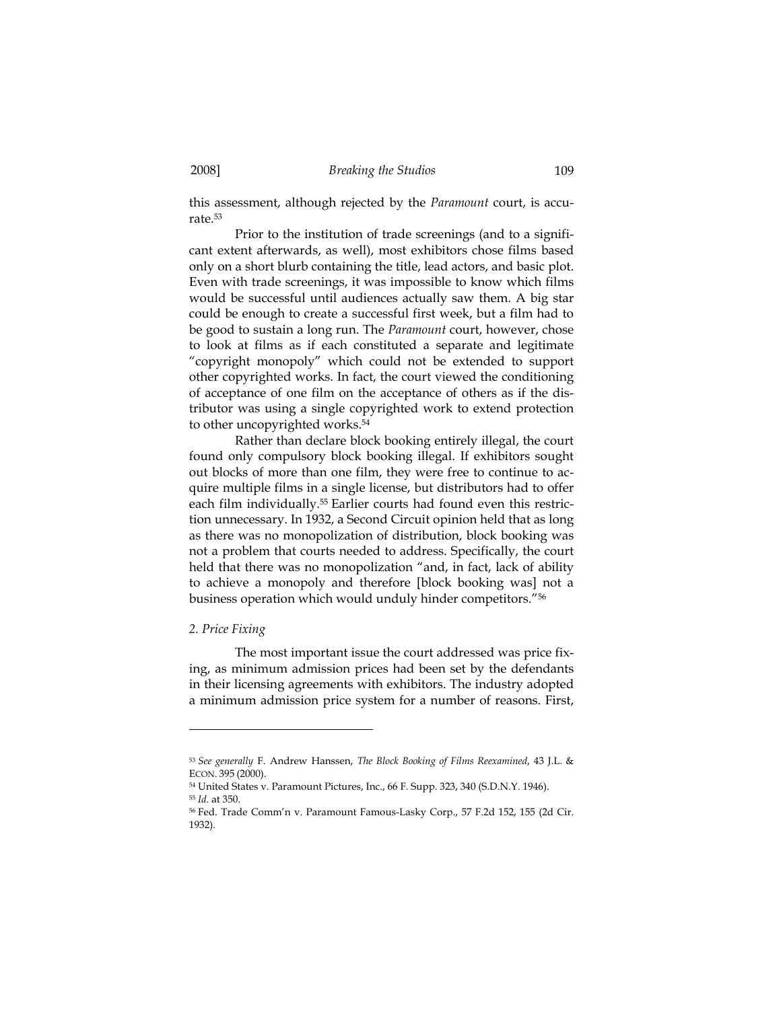this assessment, although rejected by the *Paramount* court, is accurate.53

Prior to the institution of trade screenings (and to a significant extent afterwards, as well), most exhibitors chose films based only on a short blurb containing the title, lead actors, and basic plot. Even with trade screenings, it was impossible to know which films would be successful until audiences actually saw them. A big star could be enough to create a successful first week, but a film had to be good to sustain a long run. The *Paramount* court, however, chose to look at films as if each constituted a separate and legitimate "copyright monopoly" which could not be extended to support other copyrighted works. In fact, the court viewed the conditioning of acceptance of one film on the acceptance of others as if the distributor was using a single copyrighted work to extend protection to other uncopyrighted works.54

Rather than declare block booking entirely illegal, the court found only compulsory block booking illegal. If exhibitors sought out blocks of more than one film, they were free to continue to acquire multiple films in a single license, but distributors had to offer each film individually.<sup>55</sup> Earlier courts had found even this restriction unnecessary. In 1932, a Second Circuit opinion held that as long as there was no monopolization of distribution, block booking was not a problem that courts needed to address. Specifically, the court held that there was no monopolization "and, in fact, lack of ability to achieve a monopoly and therefore [block booking was] not a business operation which would unduly hinder competitors."56

# *2. Price Fixing*

-

The most important issue the court addressed was price fixing, as minimum admission prices had been set by the defendants in their licensing agreements with exhibitors. The industry adopted a minimum admission price system for a number of reasons. First,

<sup>53</sup> *See generally* F. Andrew Hanssen, *The Block Booking of Films Reexamined*, 43 J.L. & ECON. 395 (2000).<br><sup>54</sup> United States v. Paramount Pictures, Inc., 66 F. Supp. 323, 340 (S.D.N.Y. 1946).

<sup>&</sup>lt;sup>55</sup> Id. at 350.<br><sup>56</sup> Fed. Trade Comm'n v. Paramount Famous-Lasky Corp., 57 F.2d 152, 155 (2d Cir. 1932).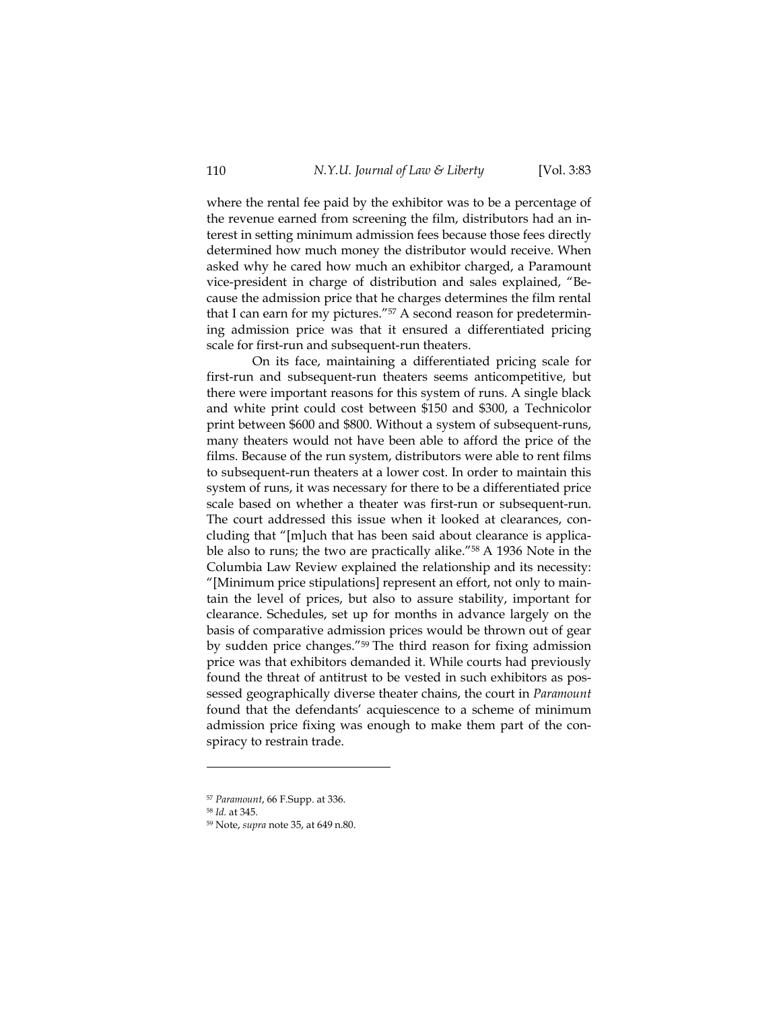where the rental fee paid by the exhibitor was to be a percentage of the revenue earned from screening the film, distributors had an interest in setting minimum admission fees because those fees directly determined how much money the distributor would receive. When asked why he cared how much an exhibitor charged, a Paramount vice-president in charge of distribution and sales explained, "Because the admission price that he charges determines the film rental that I can earn for my pictures."57 A second reason for predetermining admission price was that it ensured a differentiated pricing scale for first-run and subsequent-run theaters.

On its face, maintaining a differentiated pricing scale for first-run and subsequent-run theaters seems anticompetitive, but there were important reasons for this system of runs. A single black and white print could cost between \$150 and \$300, a Technicolor print between \$600 and \$800. Without a system of subsequent-runs, many theaters would not have been able to afford the price of the films. Because of the run system, distributors were able to rent films to subsequent-run theaters at a lower cost. In order to maintain this system of runs, it was necessary for there to be a differentiated price scale based on whether a theater was first-run or subsequent-run. The court addressed this issue when it looked at clearances, concluding that "[m]uch that has been said about clearance is applicable also to runs; the two are practically alike."58 A 1936 Note in the Columbia Law Review explained the relationship and its necessity: "[Minimum price stipulations] represent an effort, not only to maintain the level of prices, but also to assure stability, important for clearance. Schedules, set up for months in advance largely on the basis of comparative admission prices would be thrown out of gear by sudden price changes."59 The third reason for fixing admission price was that exhibitors demanded it. While courts had previously found the threat of antitrust to be vested in such exhibitors as possessed geographically diverse theater chains, the court in *Paramount* found that the defendants' acquiescence to a scheme of minimum admission price fixing was enough to make them part of the conspiracy to restrain trade.

<sup>57</sup> *Paramount*, 66 F.Supp. at 336. 58 *Id.* at 345.

<sup>59</sup> Note, *supra* note 35, at 649 n.80.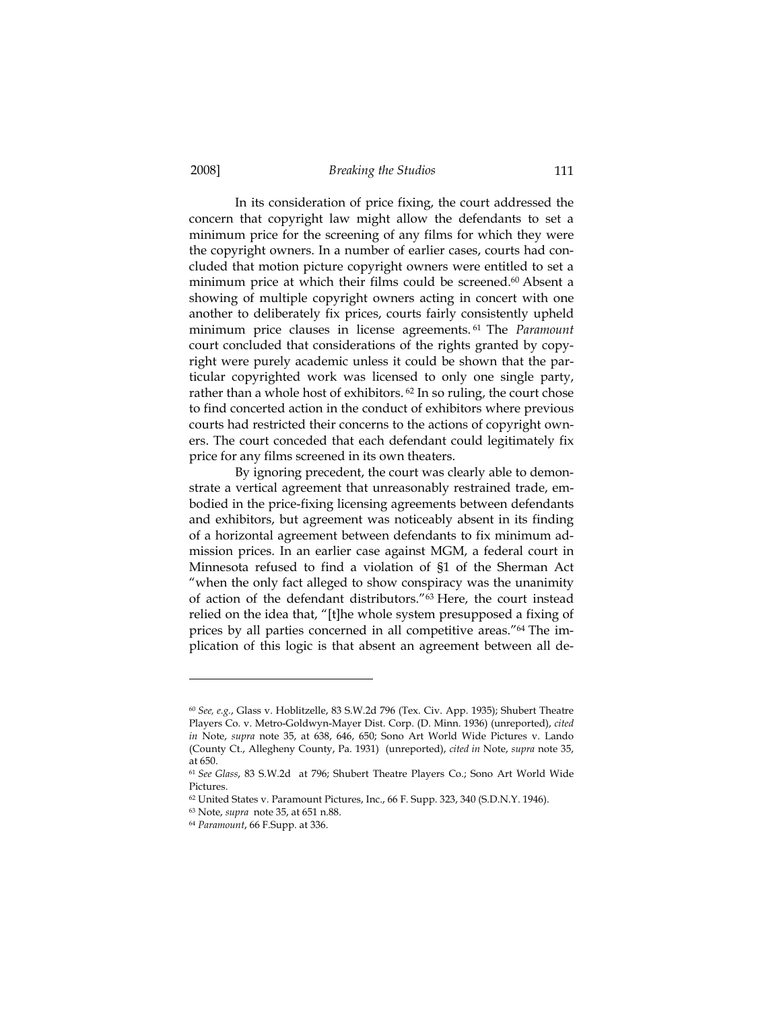In its consideration of price fixing, the court addressed the concern that copyright law might allow the defendants to set a minimum price for the screening of any films for which they were the copyright owners. In a number of earlier cases, courts had concluded that motion picture copyright owners were entitled to set a minimum price at which their films could be screened.60 Absent a showing of multiple copyright owners acting in concert with one another to deliberately fix prices, courts fairly consistently upheld minimum price clauses in license agreements. 61 The *Paramount*  court concluded that considerations of the rights granted by copyright were purely academic unless it could be shown that the particular copyrighted work was licensed to only one single party, rather than a whole host of exhibitors. 62 In so ruling, the court chose to find concerted action in the conduct of exhibitors where previous courts had restricted their concerns to the actions of copyright owners. The court conceded that each defendant could legitimately fix price for any films screened in its own theaters.

By ignoring precedent, the court was clearly able to demonstrate a vertical agreement that unreasonably restrained trade, embodied in the price-fixing licensing agreements between defendants and exhibitors, but agreement was noticeably absent in its finding of a horizontal agreement between defendants to fix minimum admission prices. In an earlier case against MGM, a federal court in Minnesota refused to find a violation of §1 of the Sherman Act "when the only fact alleged to show conspiracy was the unanimity of action of the defendant distributors."63 Here, the court instead relied on the idea that, "[t]he whole system presupposed a fixing of prices by all parties concerned in all competitive areas."64 The implication of this logic is that absent an agreement between all de-

<sup>60</sup> *See, e.g.*, Glass v. Hoblitzelle, 83 S.W.2d 796 (Tex. Civ. App. 1935); Shubert Theatre Players Co. v. Metro-Goldwyn-Mayer Dist. Corp. (D. Minn. 1936) (unreported), *cited in* Note, *supra* note 35, at 638, 646, 650; Sono Art World Wide Pictures v. Lando (County Ct., Allegheny County, Pa. 1931) (unreported), *cited in* Note, *supra* note 35, at 650.

<sup>61</sup> *See Glass*, 83 S.W.2d at 796; Shubert Theatre Players Co.; Sono Art World Wide Pictures.

<sup>62</sup> United States v. Paramount Pictures, Inc., 66 F. Supp. 323, 340 (S.D.N.Y. 1946).

<sup>63</sup> Note, *supra* note 35, at 651 n.88.

<sup>64</sup> *Paramount*, 66 F.Supp. at 336.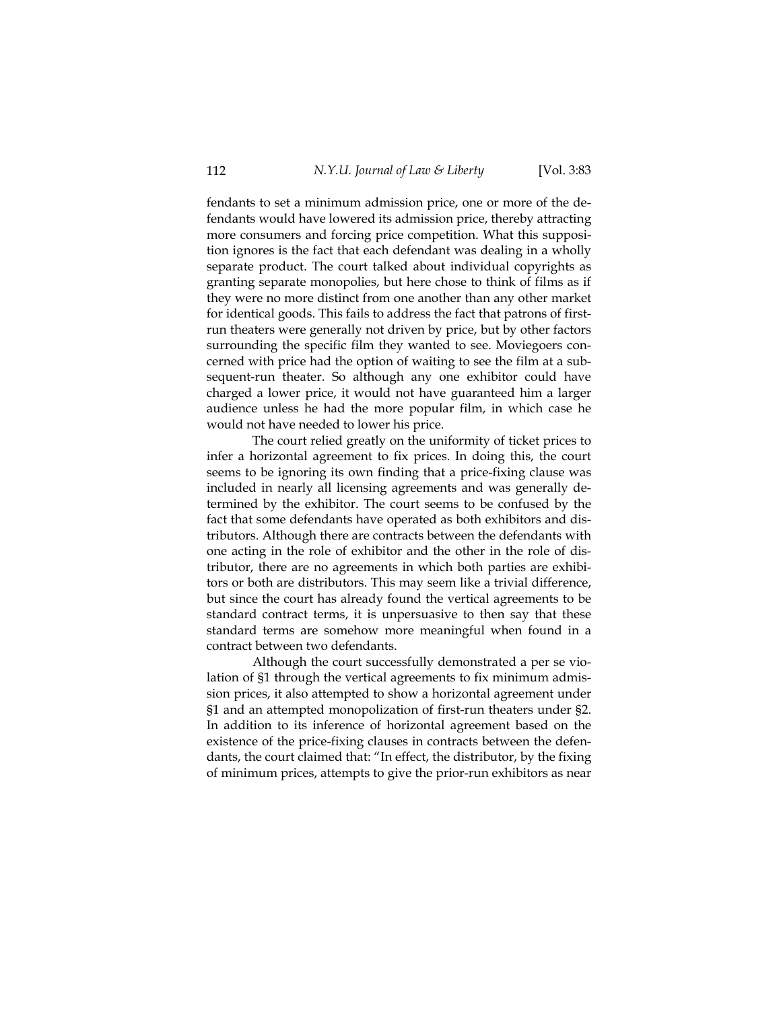fendants to set a minimum admission price, one or more of the defendants would have lowered its admission price, thereby attracting more consumers and forcing price competition. What this supposition ignores is the fact that each defendant was dealing in a wholly separate product. The court talked about individual copyrights as granting separate monopolies, but here chose to think of films as if they were no more distinct from one another than any other market for identical goods. This fails to address the fact that patrons of firstrun theaters were generally not driven by price, but by other factors surrounding the specific film they wanted to see. Moviegoers concerned with price had the option of waiting to see the film at a subsequent-run theater. So although any one exhibitor could have charged a lower price, it would not have guaranteed him a larger audience unless he had the more popular film, in which case he would not have needed to lower his price.

The court relied greatly on the uniformity of ticket prices to infer a horizontal agreement to fix prices. In doing this, the court seems to be ignoring its own finding that a price-fixing clause was included in nearly all licensing agreements and was generally determined by the exhibitor. The court seems to be confused by the fact that some defendants have operated as both exhibitors and distributors. Although there are contracts between the defendants with one acting in the role of exhibitor and the other in the role of distributor, there are no agreements in which both parties are exhibitors or both are distributors. This may seem like a trivial difference, but since the court has already found the vertical agreements to be standard contract terms, it is unpersuasive to then say that these standard terms are somehow more meaningful when found in a contract between two defendants.

Although the court successfully demonstrated a per se violation of §1 through the vertical agreements to fix minimum admission prices, it also attempted to show a horizontal agreement under §1 and an attempted monopolization of first-run theaters under §2. In addition to its inference of horizontal agreement based on the existence of the price-fixing clauses in contracts between the defendants, the court claimed that: "In effect, the distributor, by the fixing of minimum prices, attempts to give the prior-run exhibitors as near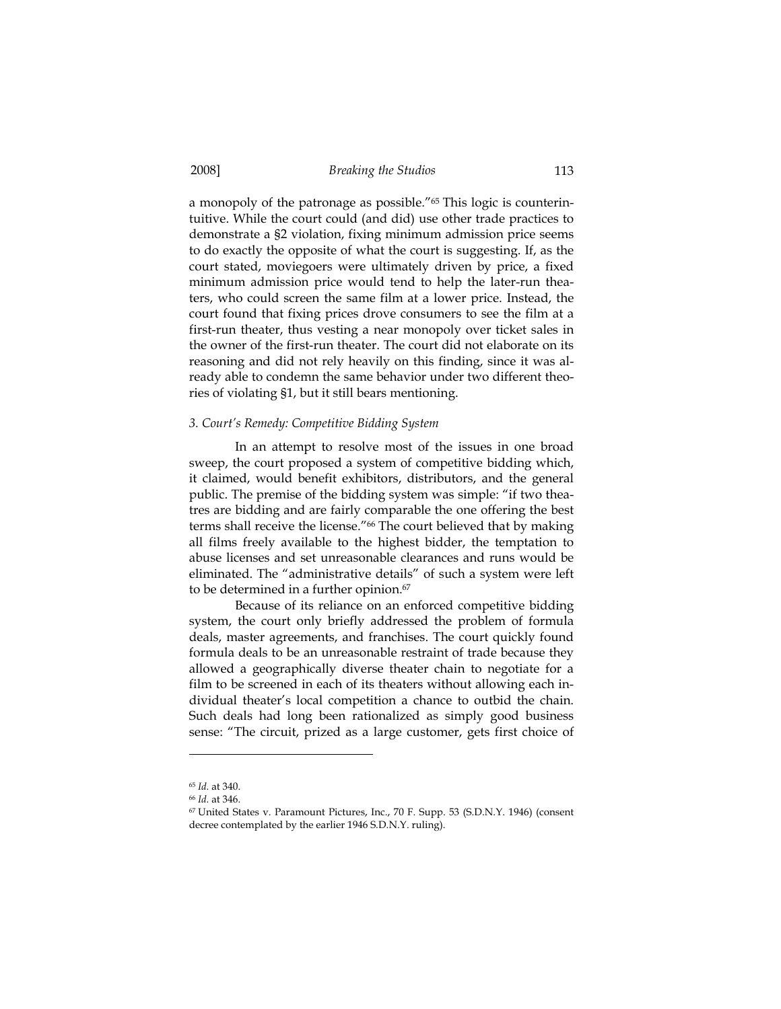a monopoly of the patronage as possible."65 This logic is counterintuitive. While the court could (and did) use other trade practices to demonstrate a §2 violation, fixing minimum admission price seems to do exactly the opposite of what the court is suggesting. If, as the court stated, moviegoers were ultimately driven by price, a fixed minimum admission price would tend to help the later-run theaters, who could screen the same film at a lower price. Instead, the court found that fixing prices drove consumers to see the film at a first-run theater, thus vesting a near monopoly over ticket sales in the owner of the first-run theater. The court did not elaborate on its reasoning and did not rely heavily on this finding, since it was already able to condemn the same behavior under two different theories of violating §1, but it still bears mentioning.

#### *3. Court's Remedy: Competitive Bidding System*

In an attempt to resolve most of the issues in one broad sweep, the court proposed a system of competitive bidding which, it claimed, would benefit exhibitors, distributors, and the general public. The premise of the bidding system was simple: "if two theatres are bidding and are fairly comparable the one offering the best terms shall receive the license."66 The court believed that by making all films freely available to the highest bidder, the temptation to abuse licenses and set unreasonable clearances and runs would be eliminated. The "administrative details" of such a system were left to be determined in a further opinion.<sup>67</sup>

Because of its reliance on an enforced competitive bidding system, the court only briefly addressed the problem of formula deals, master agreements, and franchises. The court quickly found formula deals to be an unreasonable restraint of trade because they allowed a geographically diverse theater chain to negotiate for a film to be screened in each of its theaters without allowing each individual theater's local competition a chance to outbid the chain. Such deals had long been rationalized as simply good business sense: "The circuit, prized as a large customer, gets first choice of

<sup>65</sup> *Id.* at 340.

<sup>&</sup>lt;sup>66</sup> *Id.* at 346.<br><sup>67</sup> United States v. Paramount Pictures, Inc., 70 F. Supp. 53 (S.D.N.Y. 1946) (consent decree contemplated by the earlier 1946 S.D.N.Y. ruling).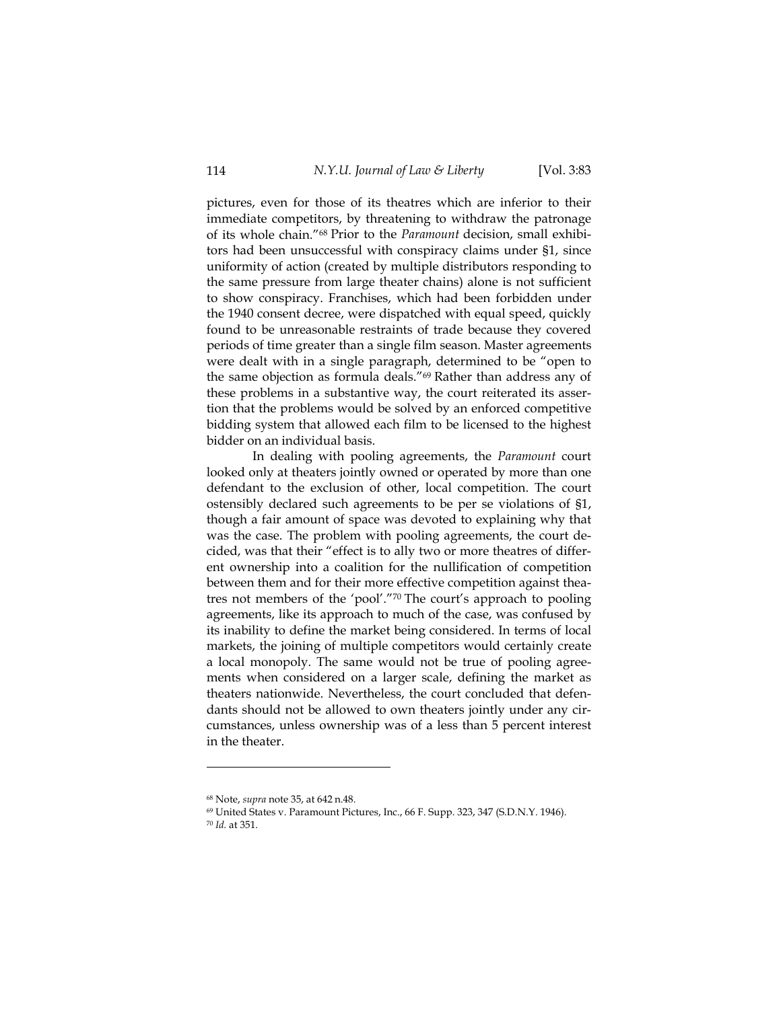pictures, even for those of its theatres which are inferior to their immediate competitors, by threatening to withdraw the patronage of its whole chain."68 Prior to the *Paramount* decision, small exhibitors had been unsuccessful with conspiracy claims under §1, since uniformity of action (created by multiple distributors responding to the same pressure from large theater chains) alone is not sufficient to show conspiracy. Franchises, which had been forbidden under the 1940 consent decree, were dispatched with equal speed, quickly found to be unreasonable restraints of trade because they covered periods of time greater than a single film season. Master agreements were dealt with in a single paragraph, determined to be "open to the same objection as formula deals."69 Rather than address any of these problems in a substantive way, the court reiterated its assertion that the problems would be solved by an enforced competitive bidding system that allowed each film to be licensed to the highest bidder on an individual basis.

In dealing with pooling agreements, the *Paramount* court looked only at theaters jointly owned or operated by more than one defendant to the exclusion of other, local competition. The court ostensibly declared such agreements to be per se violations of §1, though a fair amount of space was devoted to explaining why that was the case. The problem with pooling agreements, the court decided, was that their "effect is to ally two or more theatres of different ownership into a coalition for the nullification of competition between them and for their more effective competition against theatres not members of the 'pool'."70 The court's approach to pooling agreements, like its approach to much of the case, was confused by its inability to define the market being considered. In terms of local markets, the joining of multiple competitors would certainly create a local monopoly. The same would not be true of pooling agreements when considered on a larger scale, defining the market as theaters nationwide. Nevertheless, the court concluded that defendants should not be allowed to own theaters jointly under any circumstances, unless ownership was of a less than 5 percent interest in the theater.

<sup>&</sup>lt;sup>68</sup> Note, *supra* note 35, at 642 n.48.<br><sup>69</sup> United States v. Paramount Pictures, Inc., 66 F. Supp. 323, 347 (S.D.N.Y. 1946). <sup>70</sup> *Id.* at 351.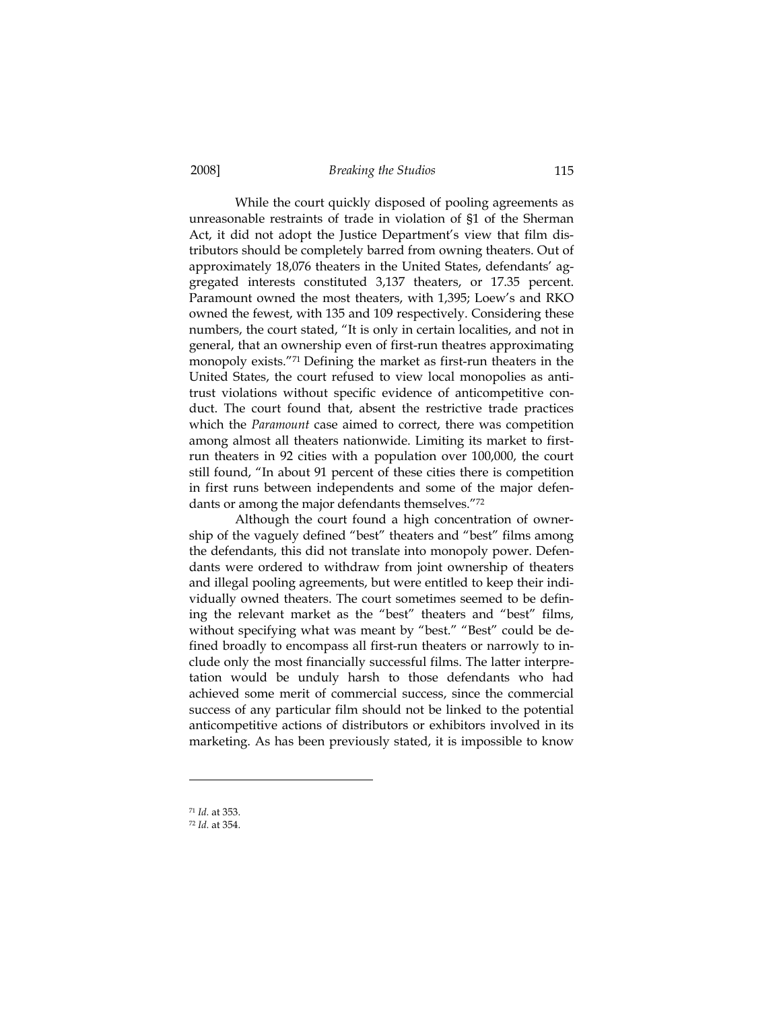While the court quickly disposed of pooling agreements as unreasonable restraints of trade in violation of §1 of the Sherman Act, it did not adopt the Justice Department's view that film distributors should be completely barred from owning theaters. Out of approximately 18,076 theaters in the United States, defendants' aggregated interests constituted 3,137 theaters, or 17.35 percent. Paramount owned the most theaters, with 1,395; Loew's and RKO owned the fewest, with 135 and 109 respectively. Considering these numbers, the court stated, "It is only in certain localities, and not in general, that an ownership even of first-run theatres approximating monopoly exists."71 Defining the market as first-run theaters in the United States, the court refused to view local monopolies as antitrust violations without specific evidence of anticompetitive conduct. The court found that, absent the restrictive trade practices which the *Paramount* case aimed to correct, there was competition among almost all theaters nationwide. Limiting its market to firstrun theaters in 92 cities with a population over 100,000, the court still found, "In about 91 percent of these cities there is competition in first runs between independents and some of the major defendants or among the major defendants themselves."72

Although the court found a high concentration of ownership of the vaguely defined "best" theaters and "best" films among the defendants, this did not translate into monopoly power. Defendants were ordered to withdraw from joint ownership of theaters and illegal pooling agreements, but were entitled to keep their individually owned theaters. The court sometimes seemed to be defining the relevant market as the "best" theaters and "best" films, without specifying what was meant by "best." "Best" could be defined broadly to encompass all first-run theaters or narrowly to include only the most financially successful films. The latter interpretation would be unduly harsh to those defendants who had achieved some merit of commercial success, since the commercial success of any particular film should not be linked to the potential anticompetitive actions of distributors or exhibitors involved in its marketing. As has been previously stated, it is impossible to know

<sup>71</sup> *Id.* at 353.

<sup>72</sup> *Id.* at 354.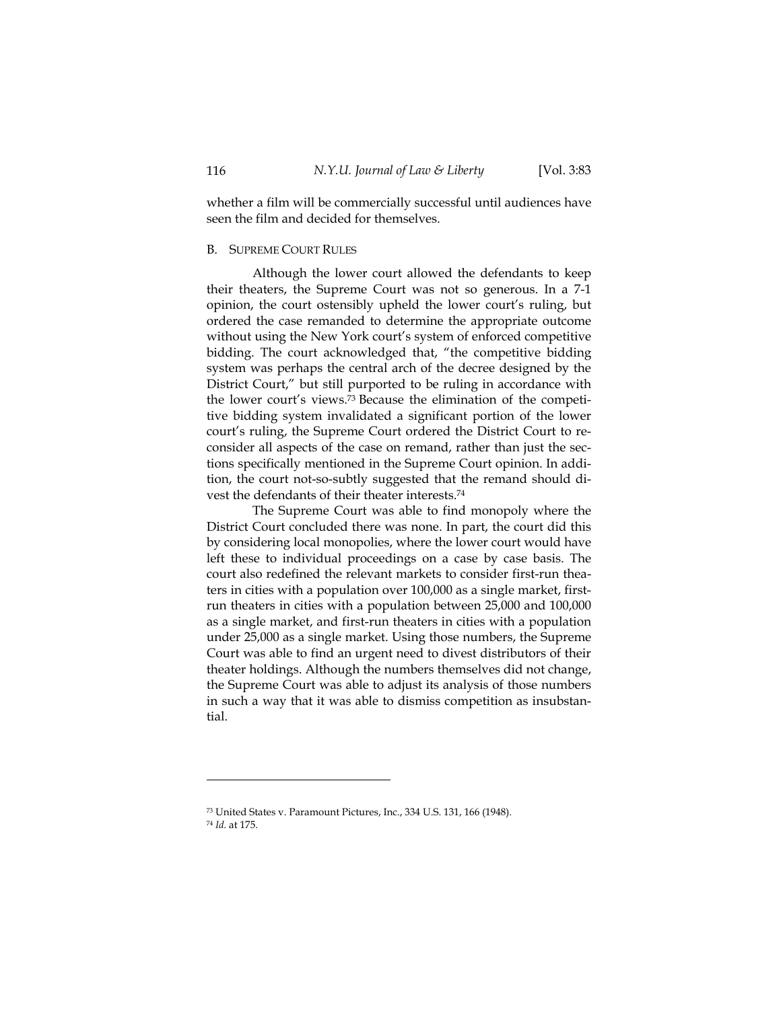whether a film will be commercially successful until audiences have seen the film and decided for themselves.

#### B. SUPREME COURT RULES

Although the lower court allowed the defendants to keep their theaters, the Supreme Court was not so generous. In a 7-1 opinion, the court ostensibly upheld the lower court's ruling, but ordered the case remanded to determine the appropriate outcome without using the New York court's system of enforced competitive bidding. The court acknowledged that, "the competitive bidding system was perhaps the central arch of the decree designed by the District Court," but still purported to be ruling in accordance with the lower court's views.73 Because the elimination of the competitive bidding system invalidated a significant portion of the lower court's ruling, the Supreme Court ordered the District Court to reconsider all aspects of the case on remand, rather than just the sections specifically mentioned in the Supreme Court opinion. In addition, the court not-so-subtly suggested that the remand should divest the defendants of their theater interests.74

The Supreme Court was able to find monopoly where the District Court concluded there was none. In part, the court did this by considering local monopolies, where the lower court would have left these to individual proceedings on a case by case basis. The court also redefined the relevant markets to consider first-run theaters in cities with a population over 100,000 as a single market, firstrun theaters in cities with a population between 25,000 and 100,000 as a single market, and first-run theaters in cities with a population under 25,000 as a single market. Using those numbers, the Supreme Court was able to find an urgent need to divest distributors of their theater holdings. Although the numbers themselves did not change, the Supreme Court was able to adjust its analysis of those numbers in such a way that it was able to dismiss competition as insubstantial.

<sup>73</sup> United States v. Paramount Pictures, Inc., 334 U.S. 131, 166 (1948). <sup>74</sup> *Id.* at 175.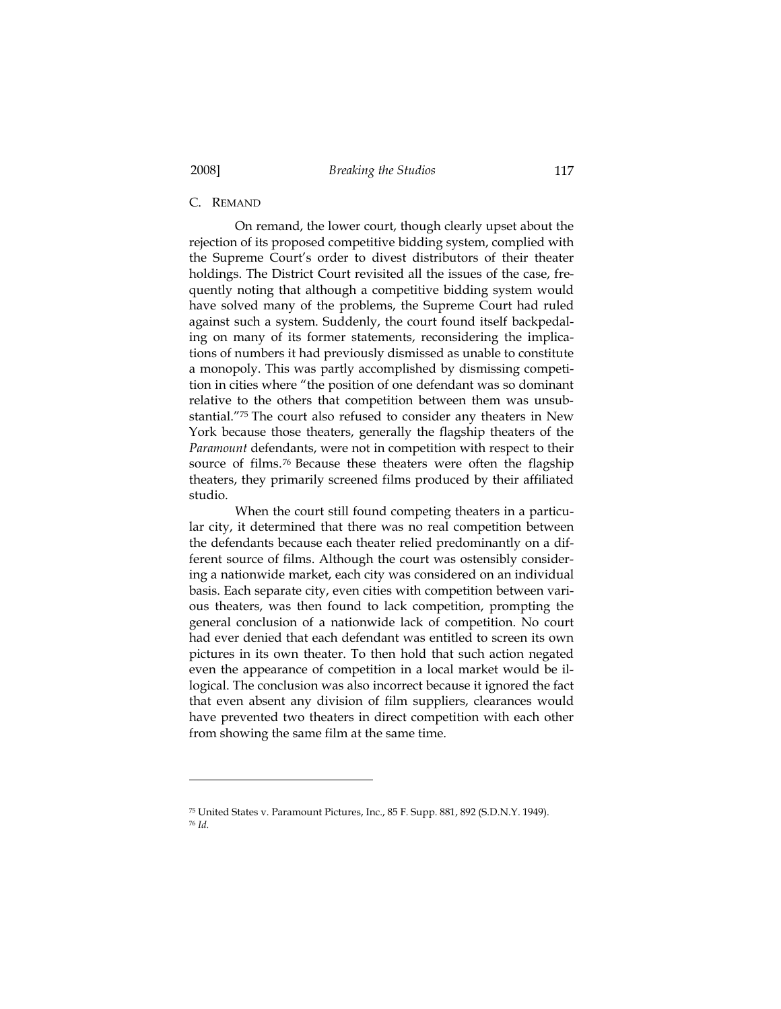# C. REMAND

On remand, the lower court, though clearly upset about the rejection of its proposed competitive bidding system, complied with the Supreme Court's order to divest distributors of their theater holdings. The District Court revisited all the issues of the case, frequently noting that although a competitive bidding system would have solved many of the problems, the Supreme Court had ruled against such a system. Suddenly, the court found itself backpedaling on many of its former statements, reconsidering the implications of numbers it had previously dismissed as unable to constitute a monopoly. This was partly accomplished by dismissing competition in cities where "the position of one defendant was so dominant relative to the others that competition between them was unsubstantial."75 The court also refused to consider any theaters in New York because those theaters, generally the flagship theaters of the *Paramount* defendants, were not in competition with respect to their source of films.<sup>76</sup> Because these theaters were often the flagship theaters, they primarily screened films produced by their affiliated studio.

When the court still found competing theaters in a particular city, it determined that there was no real competition between the defendants because each theater relied predominantly on a different source of films. Although the court was ostensibly considering a nationwide market, each city was considered on an individual basis. Each separate city, even cities with competition between various theaters, was then found to lack competition, prompting the general conclusion of a nationwide lack of competition. No court had ever denied that each defendant was entitled to screen its own pictures in its own theater. To then hold that such action negated even the appearance of competition in a local market would be illogical. The conclusion was also incorrect because it ignored the fact that even absent any division of film suppliers, clearances would have prevented two theaters in direct competition with each other from showing the same film at the same time.

<sup>75</sup> United States v. Paramount Pictures, Inc., 85 F. Supp. 881, 892 (S.D.N.Y. 1949). <sup>76</sup> *Id.*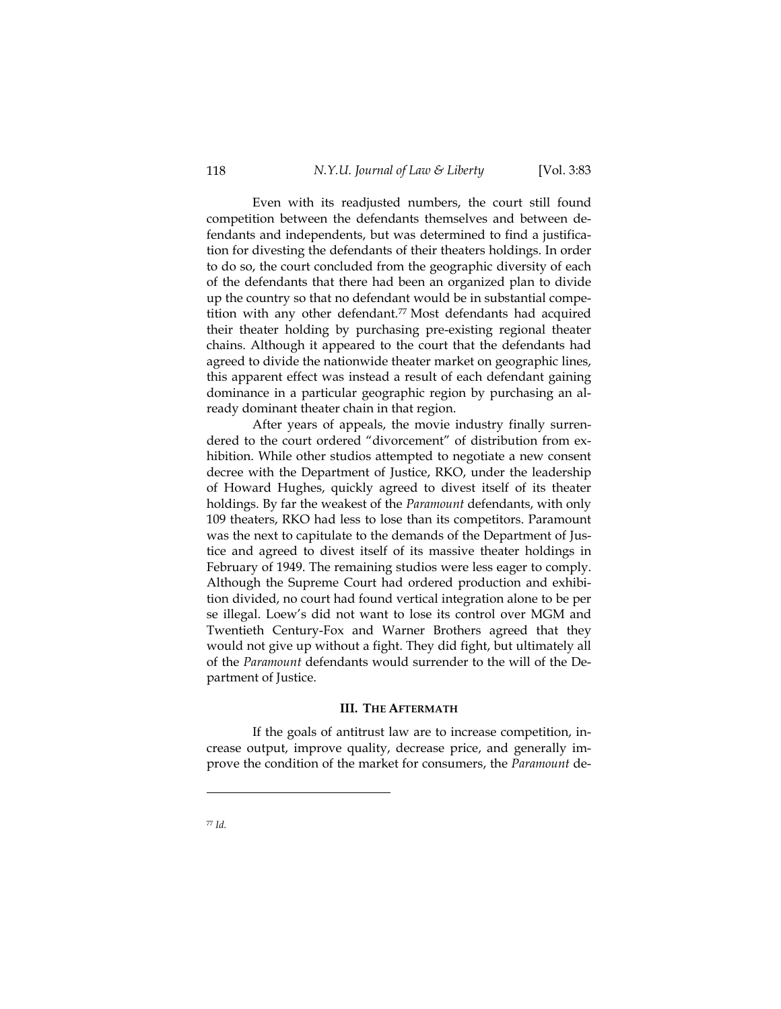Even with its readjusted numbers, the court still found competition between the defendants themselves and between defendants and independents, but was determined to find a justification for divesting the defendants of their theaters holdings. In order to do so, the court concluded from the geographic diversity of each of the defendants that there had been an organized plan to divide up the country so that no defendant would be in substantial competition with any other defendant.<sup>77</sup> Most defendants had acquired their theater holding by purchasing pre-existing regional theater chains. Although it appeared to the court that the defendants had agreed to divide the nationwide theater market on geographic lines, this apparent effect was instead a result of each defendant gaining dominance in a particular geographic region by purchasing an already dominant theater chain in that region.

After years of appeals, the movie industry finally surrendered to the court ordered "divorcement" of distribution from exhibition. While other studios attempted to negotiate a new consent decree with the Department of Justice, RKO, under the leadership of Howard Hughes, quickly agreed to divest itself of its theater holdings. By far the weakest of the *Paramount* defendants, with only 109 theaters, RKO had less to lose than its competitors. Paramount was the next to capitulate to the demands of the Department of Justice and agreed to divest itself of its massive theater holdings in February of 1949. The remaining studios were less eager to comply. Although the Supreme Court had ordered production and exhibition divided, no court had found vertical integration alone to be per se illegal. Loew's did not want to lose its control over MGM and Twentieth Century-Fox and Warner Brothers agreed that they would not give up without a fight. They did fight, but ultimately all of the *Paramount* defendants would surrender to the will of the Department of Justice.

#### **III. THE AFTERMATH**

If the goals of antitrust law are to increase competition, increase output, improve quality, decrease price, and generally improve the condition of the market for consumers, the *Paramount* de-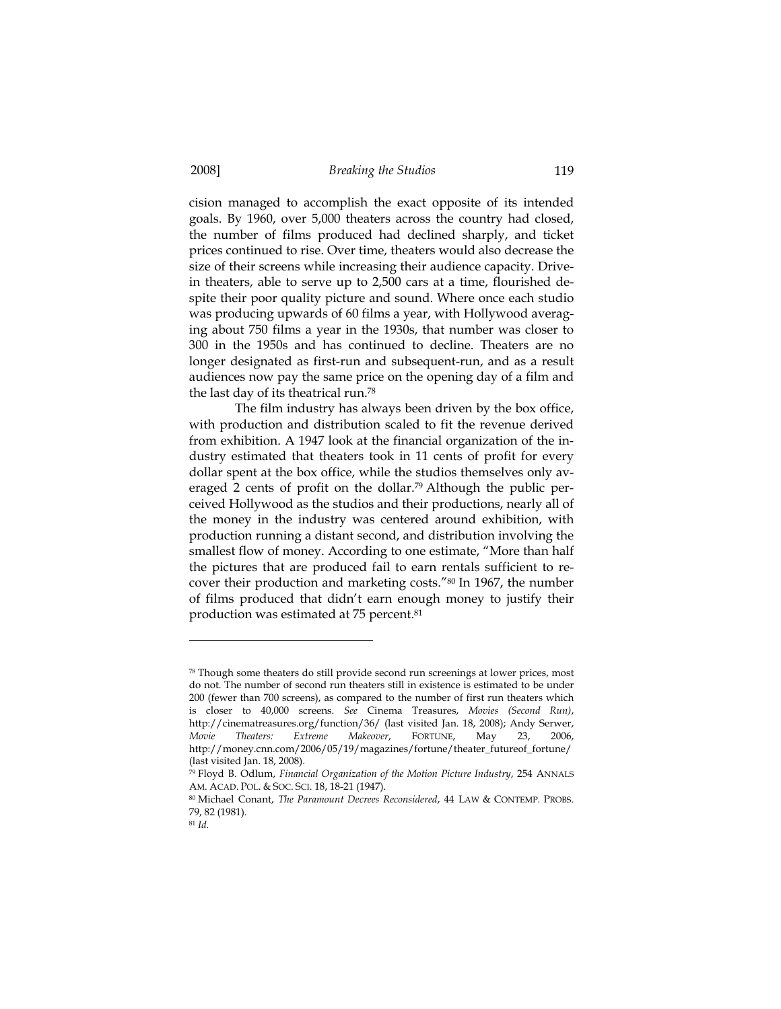cision managed to accomplish the exact opposite of its intended goals. By 1960, over 5,000 theaters across the country had closed, the number of films produced had declined sharply, and ticket prices continued to rise. Over time, theaters would also decrease the size of their screens while increasing their audience capacity. Drivein theaters, able to serve up to 2,500 cars at a time, flourished despite their poor quality picture and sound. Where once each studio was producing upwards of 60 films a year, with Hollywood averaging about 750 films a year in the 1930s, that number was closer to 300 in the 1950s and has continued to decline. Theaters are no longer designated as first-run and subsequent-run, and as a result audiences now pay the same price on the opening day of a film and the last day of its theatrical run.78

The film industry has always been driven by the box office, with production and distribution scaled to fit the revenue derived from exhibition. A 1947 look at the financial organization of the industry estimated that theaters took in 11 cents of profit for every dollar spent at the box office, while the studios themselves only averaged 2 cents of profit on the dollar.<sup>79</sup> Although the public perceived Hollywood as the studios and their productions, nearly all of the money in the industry was centered around exhibition, with production running a distant second, and distribution involving the smallest flow of money. According to one estimate, "More than half the pictures that are produced fail to earn rentals sufficient to recover their production and marketing costs."80 In 1967, the number of films produced that didn't earn enough money to justify their production was estimated at 75 percent.81

<sup>78</sup> Though some theaters do still provide second run screenings at lower prices, most do not. The number of second run theaters still in existence is estimated to be under 200 (fewer than 700 screens), as compared to the number of first run theaters which is closer to 40,000 screens. *See* Cinema Treasures, *Movies (Second Run)*, http://cinematreasures.org/function/36/ (last visited Jan. 18, 2008); Andy Serwer, *Movie Theaters: Extreme Makeover*, FORTUNE, May 23, 2006, http://money.cnn.com/2006/05/19/magazines/fortune/theater\_futureof\_fortune/ (last visited Jan. 18, 2008).

<sup>79</sup> Floyd B. Odlum, *Financial Organization of the Motion Picture Industry*, 254 ANNALS AM. ACAD. POL. & SOC. SCI. 18, 18-21 (1947).

<sup>80</sup> Michael Conant, *The Paramount Decrees Reconsidered*, 44 LAW & CONTEMP. PROBS. 79, 82 (1981).

<sup>81</sup> *Id.*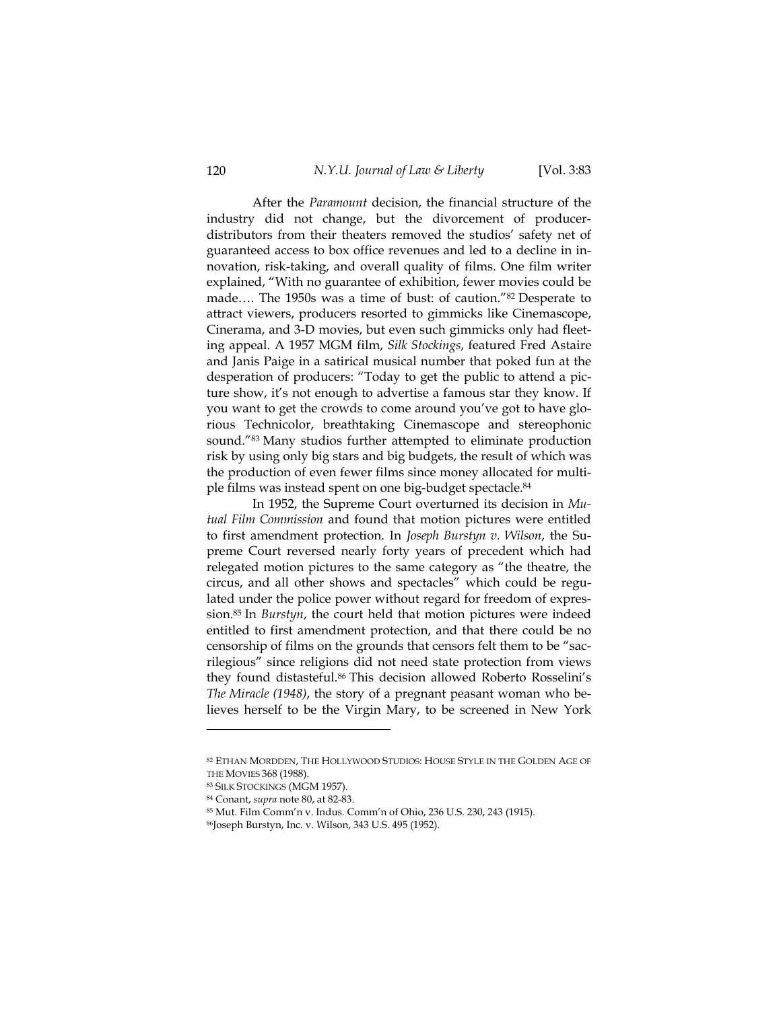After the *Paramount* decision, the financial structure of the industry did not change, but the divorcement of producerdistributors from their theaters removed the studios' safety net of guaranteed access to box office revenues and led to a decline in innovation, risk-taking, and overall quality of films. One film writer explained, "With no guarantee of exhibition, fewer movies could be made…. The 1950s was a time of bust: of caution."82 Desperate to attract viewers, producers resorted to gimmicks like Cinemascope, Cinerama, and 3-D movies, but even such gimmicks only had fleeting appeal. A 1957 MGM film, *Silk Stockings*, featured Fred Astaire and Janis Paige in a satirical musical number that poked fun at the desperation of producers: "Today to get the public to attend a picture show, it's not enough to advertise a famous star they know. If you want to get the crowds to come around you've got to have glorious Technicolor, breathtaking Cinemascope and stereophonic sound."83 Many studios further attempted to eliminate production risk by using only big stars and big budgets, the result of which was the production of even fewer films since money allocated for multiple films was instead spent on one big-budget spectacle.84

In 1952, the Supreme Court overturned its decision in *Mutual Film Commission* and found that motion pictures were entitled to first amendment protection. In *Joseph Burstyn v. Wilson*, the Supreme Court reversed nearly forty years of precedent which had relegated motion pictures to the same category as "the theatre, the circus, and all other shows and spectacles" which could be regulated under the police power without regard for freedom of expression.85 In *Burstyn*, the court held that motion pictures were indeed entitled to first amendment protection, and that there could be no censorship of films on the grounds that censors felt them to be "sacrilegious" since religions did not need state protection from views they found distasteful.86 This decision allowed Roberto Rosselini's *The Miracle (1948)*, the story of a pregnant peasant woman who believes herself to be the Virgin Mary, to be screened in New York

<sup>82</sup> ETHAN MORDDEN, THE HOLLYWOOD STUDIOS: HOUSE STYLE IN THE GOLDEN AGE OF THE MOVIES 368 (1988). 83 SILK STOCKINGS (MGM 1957).

<sup>84</sup> Conant, *supra* note 80, at 82-83. 85 Mut. Film Comm'n v. Indus. Comm'n of Ohio, 236 U.S. 230, 243 (1915).

<sup>86</sup>Joseph Burstyn, Inc. v. Wilson, 343 U.S. 495 (1952).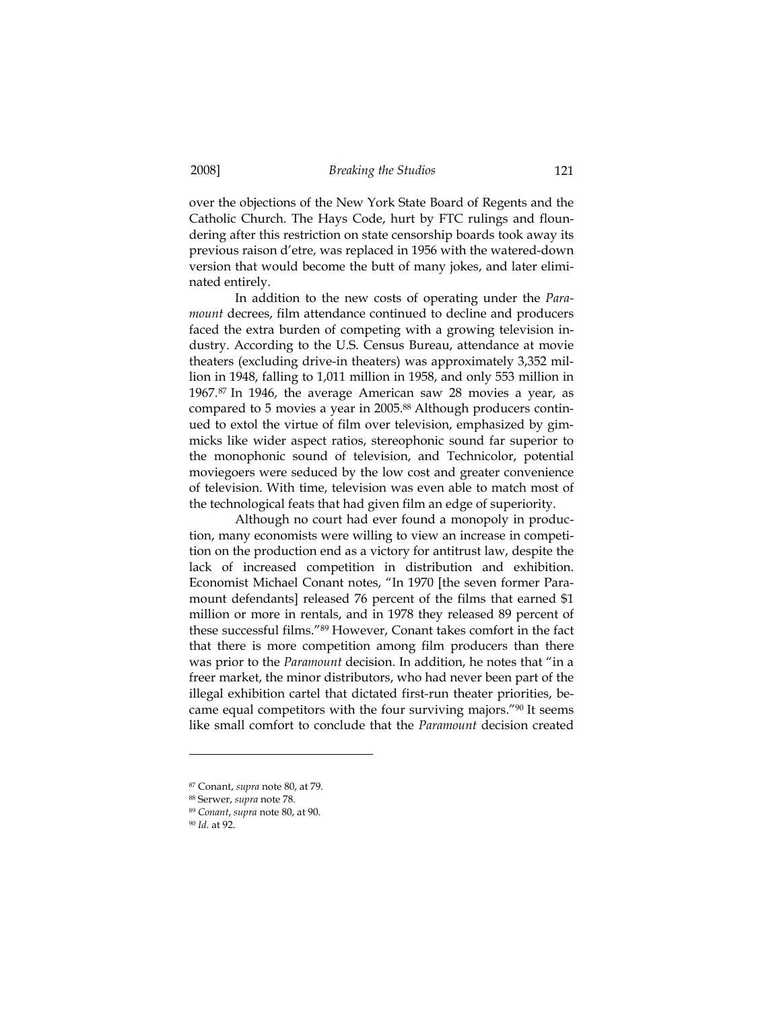over the objections of the New York State Board of Regents and the Catholic Church. The Hays Code, hurt by FTC rulings and floundering after this restriction on state censorship boards took away its previous raison d'etre, was replaced in 1956 with the watered-down version that would become the butt of many jokes, and later eliminated entirely.

In addition to the new costs of operating under the *Paramount* decrees, film attendance continued to decline and producers faced the extra burden of competing with a growing television industry. According to the U.S. Census Bureau, attendance at movie theaters (excluding drive-in theaters) was approximately 3,352 million in 1948, falling to 1,011 million in 1958, and only 553 million in 1967.87 In 1946, the average American saw 28 movies a year, as compared to 5 movies a year in 2005.88 Although producers continued to extol the virtue of film over television, emphasized by gimmicks like wider aspect ratios, stereophonic sound far superior to the monophonic sound of television, and Technicolor, potential moviegoers were seduced by the low cost and greater convenience of television. With time, television was even able to match most of the technological feats that had given film an edge of superiority.

Although no court had ever found a monopoly in production, many economists were willing to view an increase in competition on the production end as a victory for antitrust law, despite the lack of increased competition in distribution and exhibition. Economist Michael Conant notes, "In 1970 [the seven former Paramount defendants] released 76 percent of the films that earned \$1 million or more in rentals, and in 1978 they released 89 percent of these successful films."89 However, Conant takes comfort in the fact that there is more competition among film producers than there was prior to the *Paramount* decision. In addition, he notes that "in a freer market, the minor distributors, who had never been part of the illegal exhibition cartel that dictated first-run theater priorities, became equal competitors with the four surviving majors."90 It seems like small comfort to conclude that the *Paramount* decision created

<sup>87</sup> Conant, *supra* note 80, at 79.

<sup>88</sup> Serwer, *supra* note 78. 89 *Conant*, *supra* note 80, at 90.

<sup>90</sup> *Id.* at 92.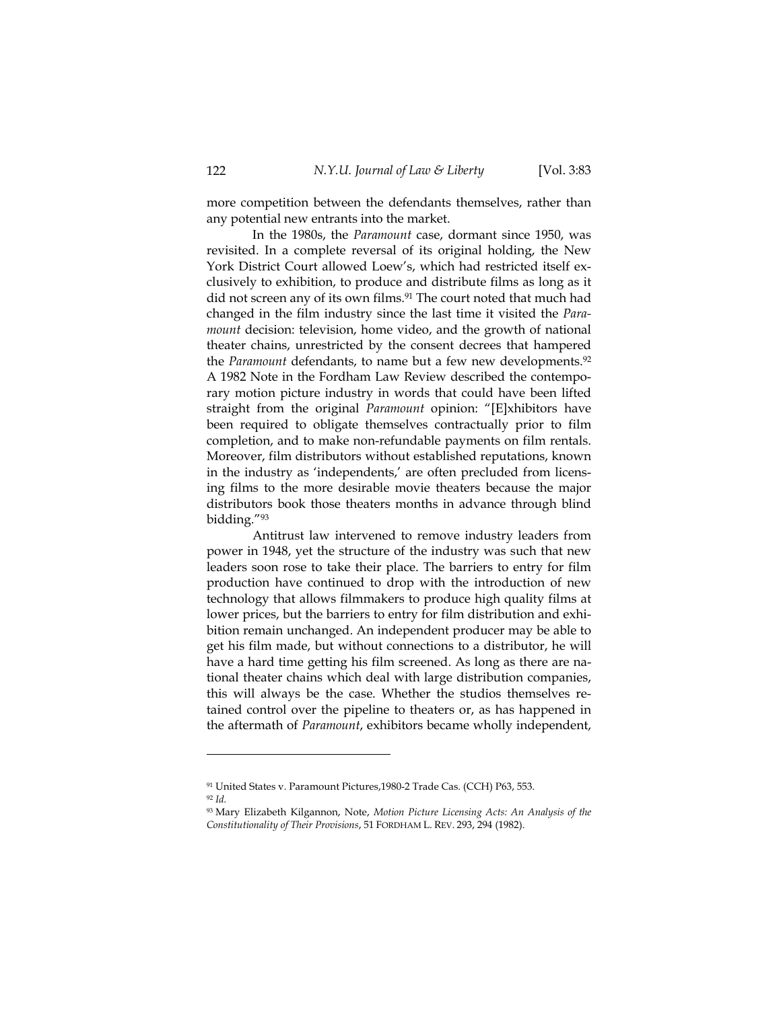more competition between the defendants themselves, rather than any potential new entrants into the market.

In the 1980s, the *Paramount* case, dormant since 1950, was revisited. In a complete reversal of its original holding, the New York District Court allowed Loew's, which had restricted itself exclusively to exhibition, to produce and distribute films as long as it did not screen any of its own films.<sup>91</sup> The court noted that much had changed in the film industry since the last time it visited the *Paramount* decision: television, home video, and the growth of national theater chains, unrestricted by the consent decrees that hampered the *Paramount* defendants, to name but a few new developments.<sup>92</sup> A 1982 Note in the Fordham Law Review described the contemporary motion picture industry in words that could have been lifted straight from the original *Paramount* opinion: "[E]xhibitors have been required to obligate themselves contractually prior to film completion, and to make non-refundable payments on film rentals. Moreover, film distributors without established reputations, known in the industry as 'independents,' are often precluded from licensing films to the more desirable movie theaters because the major distributors book those theaters months in advance through blind bidding."93

Antitrust law intervened to remove industry leaders from power in 1948, yet the structure of the industry was such that new leaders soon rose to take their place. The barriers to entry for film production have continued to drop with the introduction of new technology that allows filmmakers to produce high quality films at lower prices, but the barriers to entry for film distribution and exhibition remain unchanged. An independent producer may be able to get his film made, but without connections to a distributor, he will have a hard time getting his film screened. As long as there are national theater chains which deal with large distribution companies, this will always be the case. Whether the studios themselves retained control over the pipeline to theaters or, as has happened in the aftermath of *Paramount*, exhibitors became wholly independent,

<sup>91</sup> United States v. Paramount Pictures,1980-2 Trade Cas. (CCH) P63, 553. <sup>92</sup> *Id.*

<sup>93</sup> Mary Elizabeth Kilgannon, Note, *Motion Picture Licensing Acts: An Analysis of the Constitutionality of Their Provisions*, 51 FORDHAM L. REV. 293, 294 (1982).